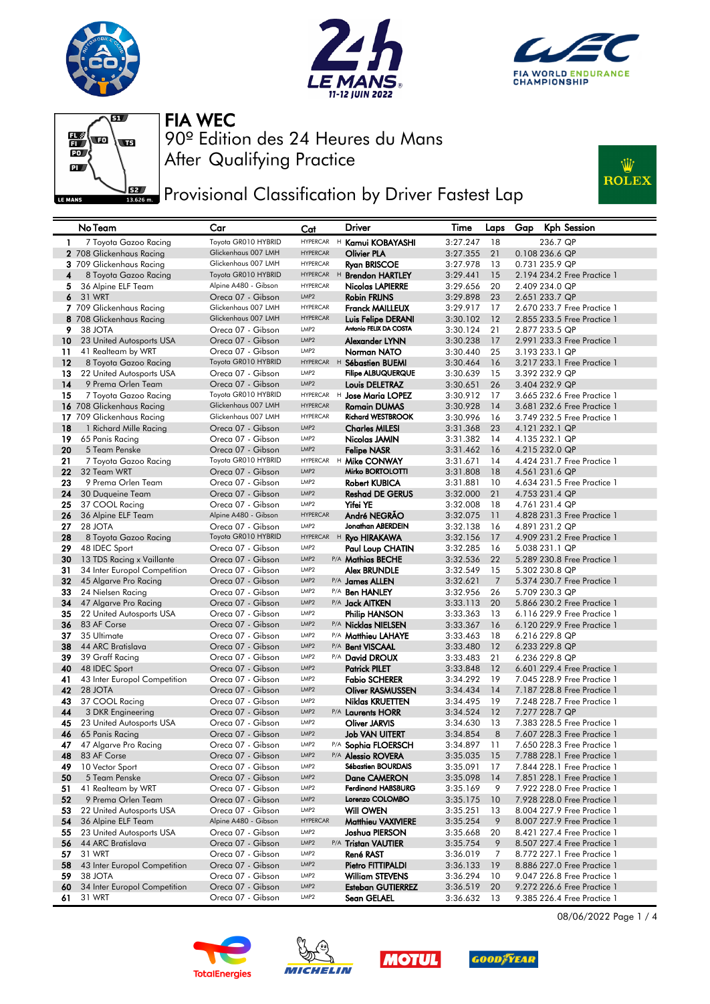







**PERGY** Provisional Classification by Driver Fastest Lap



|              | No Team                              | Car                                        | Cat                      | <b>Driver</b>                                   | Time                 | Laps           | Gap | <b>Kph Session</b>                            |
|--------------|--------------------------------------|--------------------------------------------|--------------------------|-------------------------------------------------|----------------------|----------------|-----|-----------------------------------------------|
| $\mathbf{1}$ | 7 Toyota Gazoo Racing                | Toyota GR010 HYBRID                        |                          | HYPERCAR H Kamui KOBAYASHI                      | 3:27.247             | 18             |     | 236.7 QP                                      |
|              | 2 708 Glickenhaus Racing             | Glickenhaus 007 LMH                        | <b>HYPERCAR</b>          | <b>Olivier PLA</b>                              | 3:27.355             | 21             |     | 0.108 236.6 QP                                |
|              | 3 709 Glickenhaus Racing             | Glickenhaus 007 LMH                        | <b>HYPERCAR</b>          | <b>Ryan BRISCOE</b>                             | 3:27.978             | 13             |     | 0.731 235.9 QP                                |
| 4            | 8 Toyota Gazoo Racing                | Toyota GR010 HYBRID                        | <b>HYPERCAR</b>          | <sup>H</sup> Brendon HARTLEY                    | 3:29.441             | 15             |     | 2.194 234.2 Free Practice 1                   |
| 5.           | 36 Alpine ELF Team                   | Alpine A480 - Gibson                       | <b>HYPERCAR</b>          | <b>Nicolas LAPIERRE</b>                         | 3:29.656             | 20             |     | 2.409 234.0 QP                                |
| 6            | 31 WRT                               | Oreca 07 - Gibson                          | LMP <sub>2</sub>         | <b>Robin FRIJNS</b>                             | 3:29.898             | 23             |     | 2.651 233.7 QP                                |
|              | 7 709 Glickenhaus Racing             | Glickenhaus 007 LMH                        | <b>HYPERCAR</b>          | <b>Franck MAILLEUX</b>                          | 3:29.917             | 17             |     | 2.670 233.7 Free Practice 1                   |
|              | 8 708 Glickenhaus Racing             | Glickenhaus 007 LMH                        | <b>HYPERCAR</b>          | Luis Felipe DERANI                              | 3:30.102             | 12             |     | 2.855 233.5 Free Practice 1                   |
| 9            | 38 JOTA                              | Oreca 07 - Gibson                          | LMP2                     | Antonio FELIX DA COSTA                          | 3:30.124             | 21             |     | 2.877 233.5 QP                                |
| 10           | 23 United Autosports USA             | Oreca 07 - Gibson                          | LMP <sub>2</sub>         | Alexander LYNN                                  | 3:30.238             | 17             |     | 2.991 233.3 Free Practice 1                   |
| 11           | 41 Realteam by WRT                   | Oreca 07 - Gibson                          | LMP2                     | Norman NATO                                     | 3:30.440             | 25             |     | 3.193 233.1 QP                                |
| 12           | 8 Toyota Gazoo Racing                | Toyota GR010 HYBRID                        |                          | HYPERCAR H Sébastien BUEMI                      | 3:30.464             | 16             |     | 3.217 233.1 Free Practice 1                   |
| 13           | 22 United Autosports USA             | Oreca 07 - Gibson                          | LMP2                     | <b>Filipe ALBUQUERQUE</b>                       | 3:30.639             | 15             |     | 3.392 232.9 QP                                |
| 14           | 9 Prema Orlen Team                   | Oreca 07 - Gibson                          | LMP <sub>2</sub>         | Louis DELETRAZ                                  | 3:30.651             | 26             |     | 3.404 232.9 QP                                |
| 15           | 7 Toyota Gazoo Racing                | Toyota GR010 HYBRID<br>Glickenhaus 007 LMH | <b>HYPERCAR</b>          | HYPERCAR H Jose Maria LOPEZ                     | 3:30.912             | 17             |     | 3.665 232.6 Free Practice 1                   |
|              | 16 708 Glickenhaus Racing            | Glickenhaus 007 LMH                        | <b>HYPERCAR</b>          | <b>Romain DUMAS</b><br><b>Richard WESTBROOK</b> | 3:30.928             | 14             |     | 3.681 232.6 Free Practice 1                   |
|              | 17 709 Glickenhaus Racing            | Oreca 07 - Gibson                          | LMP2                     | <b>Charles MILESI</b>                           | 3:30.996             | 16<br>23       |     | 3.749 232.5 Free Practice 1<br>4.121 232.1 QP |
| 18<br>19     | 1 Richard Mille Racing               | Oreca 07 - Gibson                          | LMP <sub>2</sub>         |                                                 | 3:31.368<br>3:31.382 | 14             |     |                                               |
| 20           | 65 Panis Racing<br>5 Team Penske     | Oreca 07 - Gibson                          | LMP <sub>2</sub>         | Nicolas JAMIN                                   | 3:31.462             | 16             |     | 4.135 232.1 QP<br>4.215 232.0 QP              |
| 21           |                                      | Toyota GR010 HYBRID                        | <b>HYPERCAR</b>          | <b>Felipe NASR</b><br><sup>H</sup> Mike CONWAY  | 3:31.671             | 14             |     | 4.424 231.7 Free Practice 1                   |
| 22           | 7 Toyota Gazoo Racing<br>32 Team WRT | Oreca 07 - Gibson                          | LMP <sub>2</sub>         | Mirko BORTOLOTTI                                | 3:31.808             | 18             |     | 4.561 231.6 QP                                |
| 23           | 9 Prema Orlen Team                   | Oreca 07 - Gibson                          | LMP <sub>2</sub>         | <b>Robert KUBICA</b>                            | 3:31.881             | 10             |     | 4.634 231.5 Free Practice 1                   |
| 24           | 30 Duqueine Team                     | Oreca 07 - Gibson                          | LMP <sub>2</sub>         | <b>Reshad DE GERUS</b>                          | 3:32.000             | 21             |     | 4.753 231.4 QP                                |
| 25           | 37 COOL Racing                       | Oreca 07 - Gibson                          | LMP2                     | Yifei YE                                        | 3:32.008             | 18             |     | 4.761 231.4 QP                                |
| 26           | 36 Alpine ELF Team                   | Alpine A480 - Gibson                       | <b>HYPERCAR</b>          | André NEGRÃO                                    | 3:32.075             | 11             |     | 4.828 231.3 Free Practice 1                   |
| 27           | 28 JOTA                              | Oreca 07 - Gibson                          | LMP2                     | Jonathan ABERDEIN                               | 3:32.138             | 16             |     | 4.891 231.2 QP                                |
| 28           | 8 Toyota Gazoo Racing                | Toyota GR010 HYBRID                        |                          | HYPERCAR H Ryo HIRAKAWA                         | 3:32.156             | 17             |     | 4.909 231.2 Free Practice 1                   |
| 29           | 48 IDEC Sport                        | Oreca 07 - Gibson                          | LMP <sub>2</sub>         | Paul Loup CHATIN                                | 3:32.285             | 16             |     | 5.038 231.1 QP                                |
| 30           | 13 TDS Racing x Vaillante            | Oreca 07 - Gibson                          | LMP2                     | P/A Mathias BECHE                               | 3:32.536             | 22             |     | 5.289 230.8 Free Practice 1                   |
| 31           | 34 Inter Europol Competition         | Oreca 07 - Gibson                          | LMP <sub>2</sub>         | Alex BRUNDLE                                    | 3:32.549             | 15             |     | 5.302 230.8 QP                                |
| 32           | 45 Algarve Pro Racing                | Oreca 07 - Gibson                          | LMP <sub>2</sub>         | P/A James ALLEN                                 | 3:32.621             | $\overline{7}$ |     | 5.374 230.7 Free Practice 1                   |
| 33           | 24 Nielsen Racing                    | Oreca 07 - Gibson                          | LMP <sub>2</sub>         | P/A <b>Ben HANLEY</b>                           | 3:32.956             | 26             |     | 5.709 230.3 QP                                |
| 34           | 47 Algarve Pro Racing                | Oreca 07 - Gibson                          | LMP <sub>2</sub>         | P/A <b>Jack AITKEN</b>                          | 3:33.113             | 20             |     | 5.866 230.2 Free Practice 1                   |
| 35           | 22 United Autosports USA             | Oreca 07 - Gibson                          | LMP <sub>2</sub>         | Philip HANSON                                   | 3:33.363             | 13             |     | 6.116 229.9 Free Practice 1                   |
| 36           | 83 AF Corse                          | Oreca 07 - Gibson                          | LMP <sub>2</sub>         | P/A Nicklas NIELSEN                             | 3:33.367             | 16             |     | 6.120 229.9 Free Practice 1                   |
| 37           | 35 Ultimate                          | Oreca 07 - Gibson                          | LMP <sub>2</sub>         | P/A Matthieu LAHAYE                             | 3:33.463             | 18             |     | 6.216 229.8 QP                                |
| 38           | 44 ARC Bratislava                    | Oreca 07 - Gibson                          | LMP <sub>2</sub>         | P/A Bent VISCAAL                                | 3:33.480             | 12             |     | 6.233 229.8 QP                                |
| 39           | 39 Graff Racing                      | Oreca 07 - Gibson                          | LMP <sub>2</sub>         | P/A David DROUX                                 | 3:33.483             | 21             |     | 6.236 229.8 QP                                |
| 40           | 48 IDEC Sport                        | Oreca 07 - Gibson                          | LMP <sub>2</sub>         | <b>Patrick PILET</b>                            | 3:33.848             | 12             |     | 6.601 229.4 Free Practice 1                   |
| 41           | 43 Inter Europol Competition         | Oreca 07 - Gibson                          | LMP2                     | <b>Fabio SCHERER</b>                            | 3:34.292             | 19             |     | 7.045 228.9 Free Practice 1                   |
| 42           | 28 JOTA                              | Oreca 07 - Gibson                          | LMP <sub>2</sub><br>LMP2 | <b>Oliver RASMUSSEN</b>                         | 3:34.434             | 14             |     | 7.187 228.8 Free Practice 1                   |
| 43<br>44     | 37 COOL Racing<br>3 DKR Engineering  | Oreca 07 - Gibson<br>Oreca 07 - Gibson     | LMP <sub>2</sub>         | Niklas KRUETTEN<br>P/A Laurents HORR            | 3:34.495<br>3:34.524 | 19<br>12       |     | 7.248 228.7 Free Practice 1<br>7.277 228.7 QP |
| 45           | 23 United Autosports USA             | Oreca 07 - Gibson                          | LMP2                     | <b>Oliver JARVIS</b>                            | 3:34.630             | 13             |     | 7.383 228.5 Free Practice 1                   |
| 46           | 65 Panis Racing                      | Oreca 07 - Gibson                          | LMP <sub>2</sub>         | <b>Job VAN UITERT</b>                           | 3:34.854             | 8              |     | 7.607 228.3 Free Practice 1                   |
| 47           | 47 Algarve Pro Racing                | Oreca 07 - Gibson                          | LMP2                     | P/A Sophia FLOERSCH                             | 3:34.897             | 11             |     | 7.650 228.3 Free Practice 1                   |
| 48           | 83 AF Corse                          | Oreca 07 - Gibson                          | LMP <sub>2</sub>         | <sup>P/A</sup> Alessio ROVERA                   | 3:35.035             | 15             |     | 7.788 228.1 Free Practice 1                   |
| 49           | 10 Vector Sport                      | Oreca 07 - Gibson                          | LMP2                     | Sébastien BOURDAIS                              | 3:35.091             | 17             |     | 7.844 228.1 Free Practice 1                   |
| 50           | 5 Team Penske                        | Oreca 07 - Gibson                          | LMP <sub>2</sub>         | Dane CAMERON                                    | 3:35.098             | 14             |     | 7.851 228.1 Free Practice 1                   |
| 51           | 41 Realteam by WRT                   | Oreca 07 - Gibson                          | LMP <sub>2</sub>         | <b>Ferdinand HABSBURG</b>                       | 3:35.169             | 9              |     | 7.922 228.0 Free Practice 1                   |
| 52           | 9 Prema Orlen Team                   | Oreca 07 - Gibson                          | LMP2                     | Lorenzo COLOMBO                                 | 3:35.175             | 10             |     | 7.928 228.0 Free Practice 1                   |
| 53           | 22 United Autosports USA             | Oreca 07 - Gibson                          | LMP2                     | <b>Will OWEN</b>                                | 3:35.251             | 13             |     | 8,004 227,9 Free Practice 1                   |
| 54           | 36 Alpine ELF Team                   | Alpine A480 - Gibson                       | <b>HYPERCAR</b>          | Matthieu VAXIVIERE                              | 3:35.254             | 9              |     | 8.007 227.9 Free Practice 1                   |
| 55           | 23 United Autosports USA             | Oreca 07 - Gibson                          | LMP <sub>2</sub>         | Joshua PIERSON                                  | 3:35.668             | 20             |     | 8.421 227.4 Free Practice 1                   |
| 56           | 44 ARC Bratislava                    | Oreca 07 - Gibson                          | LMP <sub>2</sub>         | P/A Tristan VAUTIER                             | 3:35.754             | 9              |     | 8.507 227.4 Free Practice 1                   |
| 57           | 31 WRT                               | Oreca 07 - Gibson                          | LMP2                     | René RAST                                       | 3:36.019             | 7              |     | 8.772 227.1 Free Practice 1                   |
| 58           | 43 Inter Europol Competition         | Oreca 07 - Gibson                          | LMP <sub>2</sub>         | Pietro FITTIPALDI                               | 3:36.133             | 19             |     | 8.886 227.0 Free Practice 1                   |
| 59           | 38 JOTA                              | Oreca 07 - Gibson                          | LMP <sub>2</sub>         | <b>William STEVENS</b>                          | 3:36.294             | 10             |     | 9.047 226.8 Free Practice 1                   |
| 60           | 34 Inter Europol Competition         | Oreca 07 - Gibson                          | LMP2                     | <b>Esteban GUTIERREZ</b>                        | 3:36.519             | 20             |     | 9.272 226.6 Free Practice 1                   |
| 61           | 31 WRT                               | Oreca 07 - Gibson                          | LMP2                     | Sean GELAEL                                     | 3:36.632             | 13             |     | 9.385 226.4 Free Practice 1                   |









08/06/2022 Page 1 / 4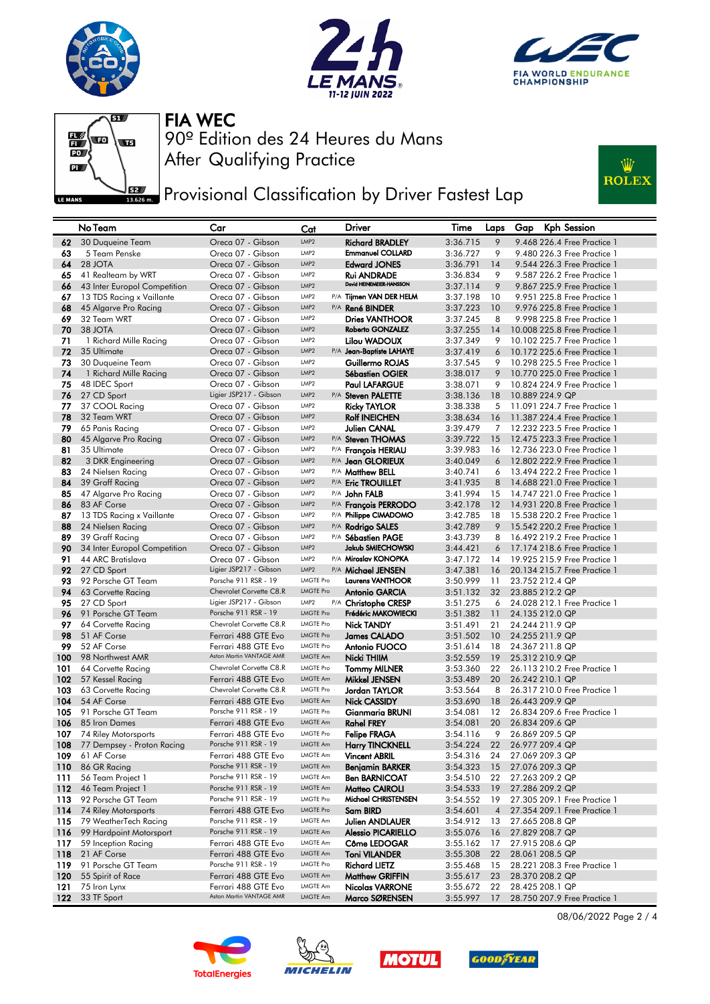







**PERGY** Provisional Classification by Driver Fastest Lap



|            | No Team                                 | Car                                         | Cat                                  | <b>Driver</b>                                 | Time                 | Laps           | Kph Session<br>Gap                                           |
|------------|-----------------------------------------|---------------------------------------------|--------------------------------------|-----------------------------------------------|----------------------|----------------|--------------------------------------------------------------|
| 62         | 30 Duqueine Team                        | Oreca 07 - Gibson                           | LMP <sub>2</sub>                     | <b>Richard BRADLEY</b>                        | 3:36.715             | 9              | 9.468 226.4 Free Practice 1                                  |
| 63         | 5 Team Penske                           | Oreca 07 - Gibson                           | LMP <sub>2</sub>                     | <b>Emmanuel COLLARD</b>                       | 3:36.727             | 9              | 9.480 226.3 Free Practice 1                                  |
| 64         | 28 JOTA                                 | Oreca 07 - Gibson                           | LMP <sub>2</sub>                     | <b>Edward JONES</b>                           | 3:36.791             | 14             | 9.544 226.3 Free Practice 1                                  |
| 65         | 41 Realteam by WRT                      | Oreca 07 - Gibson                           | LMP <sub>2</sub>                     | <b>Rui ANDRADE</b>                            | 3:36.834             | 9              | 9.587 226.2 Free Practice 1                                  |
| 66         | 43 Inter Europol Competition            | Oreca 07 - Gibson                           | LMP <sub>2</sub>                     | David HEINEMEIER-HANSSON                      | 3:37.114             | 9              | 9.867 225.9 Free Practice 1                                  |
| 67         | 13 TDS Racing x Vaillante               | Oreca 07 - Gibson                           | LMP <sub>2</sub>                     | P/A Tijmen VAN DER HELM                       | 3:37.198             | 10             | 9.951 225.8 Free Practice 1                                  |
| 68         | 45 Algarve Pro Racing                   | Oreca 07 - Gibson                           | LMP <sub>2</sub>                     | P/A René BINDER                               | 3:37.223             | 10             | 9.976 225.8 Free Practice 1                                  |
| 69         | 32 Team WRT                             | Oreca 07 - Gibson                           | LMP <sub>2</sub>                     | <b>Dries VANTHOOR</b>                         | 3:37.245             | 8              | 9.998 225.8 Free Practice 1                                  |
| 70         | 38 JOTA                                 | Oreca 07 - Gibson                           | LMP <sub>2</sub>                     | Roberto GONZALEZ                              | 3:37.255             | 14             | 10.008 225.8 Free Practice 1                                 |
| 71         | 1 Richard Mille Racing                  | Oreca 07 - Gibson                           | LMP <sub>2</sub>                     | Lilou WADOUX                                  | 3:37.349             | 9              | 10.102 225.7 Free Practice 1                                 |
| 72         | 35 Ultimate                             | Oreca 07 - Gibson                           | LMP <sub>2</sub>                     | P/A Jean-Baptiste LAHAYE                      | 3:37.419             | 6              | 10.172 225.6 Free Practice 1                                 |
| 73         | 30 Duqueine Team                        | Oreca 07 - Gibson                           | LMP <sub>2</sub>                     | Guillermo ROJAS                               | 3:37.545             | 9              | 10,298 225.5 Free Practice 1                                 |
| 74         | 1 Richard Mille Racing                  | Oreca 07 - Gibson                           | LMP <sub>2</sub>                     | <b>Sébastien OGIER</b>                        | 3:38.017             | 9              | 10.770 225.0 Free Practice 1                                 |
| 75         | 48 IDEC Sport                           | Oreca 07 - Gibson                           | LMP <sub>2</sub>                     | <b>Paul LAFARGUE</b>                          | 3:38.071             | 9              | 10.824 224.9 Free Practice 1                                 |
| 76         | 27 CD Sport                             | Ligier JSP217 - Gibson                      | LMP <sub>2</sub>                     | P/A Steven PALETTE                            | 3:38.136             | 18             | 10.889 224.9 QP                                              |
| 77         | 37 COOL Racing                          | Oreca 07 - Gibson                           | LMP <sub>2</sub>                     | <b>Ricky TAYLOR</b>                           | 3:38.338             | 5              | 11.091 224.7 Free Practice 1                                 |
| 78         | 32 Team WRT                             | Oreca 07 - Gibson                           | LMP <sub>2</sub>                     | <b>Rolf INEICHEN</b>                          | 3:38.634             | 16             | 11,387 224.4 Free Practice 1                                 |
| 79         | 65 Panis Racing                         | Oreca 07 - Gibson                           | LMP <sub>2</sub>                     | <b>Julien CANAL</b>                           | 3:39.479             | 7              | 12,232 223.5 Free Practice 1                                 |
| 80         | 45 Algarve Pro Racing                   | Oreca 07 - Gibson                           | LMP <sub>2</sub>                     | P/A Steven THOMAS                             | 3:39.722             | 15             | 12.475 223.3 Free Practice 1                                 |
| 81         | 35 Ultimate                             | Oreca 07 - Gibson                           | LMP <sub>2</sub>                     | P/A François HERIAU                           | 3:39.983             | 16             | 12.736 223.0 Free Practice 1                                 |
| 82         | 3 DKR Engineering                       | Oreca 07 - Gibson                           | LMP <sub>2</sub><br>LMP <sub>2</sub> | P/A Jean GLORIEUX                             | 3:40.049             | 6              | 12.802 222.9 Free Practice 1                                 |
| 83         | 24 Nielsen Racing                       | Oreca 07 - Gibson                           | LMP <sub>2</sub>                     | P/A Matthew BELL                              | 3:40.741             | 6              | 13.494 222.2 Free Practice 1                                 |
| 84         | 39 Graff Racing                         | Oreca 07 - Gibson                           | LMP <sub>2</sub>                     | P/A Eric TROUILLET                            | 3:41.935             | 8              | 14.688 221.0 Free Practice 1                                 |
| 85<br>86   | 47 Algarve Pro Racing<br>83 AF Corse    | Oreca 07 - Gibson<br>Oreca 07 - Gibson      | LMP <sub>2</sub>                     | P/A John FALB                                 | 3:41.994             | 15             | 14.747 221.0 Free Practice 1<br>14.931 220.8 Free Practice 1 |
| 87         | 13 TDS Racing x Vaillante               | Oreca 07 - Gibson                           | LMP <sub>2</sub>                     | P/A François PERRODO<br>P/A Philippe CIMADOMO | 3:42.178<br>3:42.785 | 12<br>18       | 15,538 220.2 Free Practice 1                                 |
| 88         | 24 Nielsen Racing                       | Oreca 07 - Gibson                           | LMP <sub>2</sub>                     | P/A Rodrigo SALES                             | 3:42.789             | 9              | 15.542 220.2 Free Practice 1                                 |
| 89         | 39 Graff Racing                         | Oreca 07 - Gibson                           | LMP <sub>2</sub>                     | P/A Sébastien PAGE                            | 3:43.739             | 8              | 16.492 219.2 Free Practice 1                                 |
| 90         | 34 Inter Europol Competition            | Oreca 07 - Gibson                           | LMP <sub>2</sub>                     | Jakub SMIECHOWSKI                             | 3:44.421             | 6              | 17.174 218.6 Free Practice 1                                 |
| 91         | 44 ARC Bratislava                       | Oreca 07 - Gibson                           | LMP <sub>2</sub>                     | P/A Miroslav KONOPKA                          | 3:47.172             | 14             | 19,925 215.9 Free Practice 1                                 |
| 92         | 27 CD Sport                             | Ligier JSP217 - Gibson                      | LMP <sub>2</sub>                     | P/A Michael JENSEN                            | 3:47.381             | 16             | 20.134 215.7 Free Practice 1                                 |
| 93         | 92 Porsche GT Team                      | Porsche 911 RSR - 19                        | <b>LMGTE Pro</b>                     | <b>Laurens VANTHOOR</b>                       | 3:50.999             | 11             | 23.752 212.4 QP                                              |
| 94         | 63 Corvette Racing                      | Chevrolet Corvette C8.R                     | <b>LMGTE Pro</b>                     | <b>Antonio GARCIA</b>                         | 3:51.132             | 32             | 23.885 212.2 QP                                              |
| 95         | 27 CD Sport                             | Ligier JSP217 - Gibson                      | LMP <sub>2</sub>                     | P/A Christophe CRESP                          | 3:51.275             | 6              | 24.028 212.1 Free Practice 1                                 |
| 96         | 91 Porsche GT Team                      | Porsche 911 RSR - 19                        | <b>LMGTE Pro</b>                     | Frédéric MAKOWIECKI                           | 3:51.382             | 11             | 24.135 212.0 QP                                              |
| 97         | 64 Corvette Racing                      | Chevrolet Corvette C8.R                     | <b>LMGTE Pro</b>                     | <b>Nick TANDY</b>                             | 3:51.491             | 21             | 24.244 211.9 QP                                              |
| 98         | 51 AF Corse                             | Ferrari 488 GTE Evo                         | <b>LMGTE Pro</b>                     | James CALADO                                  | 3:51.502             | 10             | 24.255 211.9 QP                                              |
| 99         | 52 AF Corse                             | Ferrari 488 GTE Evo                         | <b>LMGTE Pro</b>                     | Antonio FUOCO                                 | 3:51.614             | 18             | 24.367 211.8 QP                                              |
| 100        | 98 Northwest AMR                        | Aston Martin VANTAGE AMR                    | LMGTE Am                             | Nicki THIIM                                   | 3:52.559             | 19             | 25.312 210.9 QP                                              |
| 101        | 64 Corvette Racing                      | Chevrolet Corvette C8.R                     | <b>LMGTE Pro</b>                     | <b>Tommy MILNER</b>                           | 3:53.360             | 22             | 26.113 210.2 Free Practice 1                                 |
| 102        | 57 Kessel Racing                        | Ferrari 488 GTE Evo                         | LMGTE Am                             | Mikkel JENSEN                                 | 3:53.489             | 20             | 26.242 210.1 QP                                              |
| 103        | 63 Corvette Racing                      | Chevrolet Corvette C8.R                     | <b>LMGTE Pro</b>                     | Jordan TAYLOR                                 | 3:53.564             | 8              | 26.317 210.0 Free Practice 1                                 |
| 104        | 54 AF Corse                             | Ferrari 488 GTE Evo                         | <b>LMGTE Am</b>                      | <b>Nick CASSIDY</b>                           | 3:53.690             | 18             | 26.443 209.9 QP                                              |
| 105        | 91 Porsche GT Team                      | Porsche 911 RSR - 19                        | <b>LMGTE Pro</b>                     | <b>Gianmaria BRUNI</b>                        | 3:54.081             | 12             | 26.834 209.6 Free Practice 1                                 |
| 106        | 85 Iron Dames                           | Ferrari 488 GTE Evo                         | <b>LMGTE Am</b>                      | <b>Rahel FREY</b>                             | 3:54.081             | 20             | 26.834 209.6 QP                                              |
| 107        | 74 Riley Motorsports                    | Ferrari 488 GTE Evo                         | <b>LMGTE Pro</b>                     | <b>Felipe FRAGA</b>                           | 3:54.116             | 9              | 26.869 209.5 QP                                              |
| 108        | 77 Dempsey - Proton Racing              | Porsche 911 RSR - 19                        | <b>LMGTE Am</b>                      | <b>Harry TINCKNELL</b>                        | 3:54.224             | 22             | 26.977 209.4 QP                                              |
| 109        | 61 AF Corse                             | Ferrari 488 GTE Evo<br>Porsche 911 RSR - 19 | LMGTE Am<br>LMGTE Am                 | <b>Vincent ABRIL</b>                          | 3:54.316             | 24             | 27.069 209.3 QP                                              |
| 110        | 86 GR Racing                            | Porsche 911 RSR - 19                        | <b>LMGTE Am</b>                      | Benjamin BARKER                               | 3:54.323             | 15             | 27.076 209.3 QP                                              |
| 111        | 56 Team Project 1                       | Porsche 911 RSR - 19                        | <b>LMGTE Am</b>                      | <b>Ben BARNICOAT</b>                          | 3:54.510<br>3:54.533 | 22             | 27.263 209.2 QP                                              |
| 112<br>113 | 46 Team Project 1<br>92 Porsche GT Team | Porsche 911 RSR - 19                        | <b>LMGTE Pro</b>                     | Matteo CAIROLI<br>Michael CHRISTENSEN         | 3:54.552             | 19<br>19       | 27.286 209.2 QP<br>27.305 209.1 Free Practice 1              |
| 114        | 74 Riley Motorsports                    | Ferrari 488 GTE Evo                         | <b>LMGTE Pro</b>                     | Sam BIRD                                      | 3:54.601             | $\overline{4}$ | 27.354 209.1 Free Practice 1                                 |
| 115        | 79 WeatherTech Racing                   | Porsche 911 RSR - 19                        | <b>LMGTE Am</b>                      | Julien ANDLAUER                               | 3:54.912             | 13             | 27.665 208.8 QP                                              |
| 116        | 99 Hardpoint Motorsport                 | Porsche 911 RSR - 19                        | LMGTE Am                             | <b>Alessio PICARIELLO</b>                     | 3:55.076             | 16             | 27.829 208.7 QP                                              |
| 117        | 59 Inception Racing                     | Ferrari 488 GTE Evo                         | <b>LMGTE Am</b>                      | Côme LEDOGAR                                  | 3:55.162             | 17             | 27.915 208.6 QP                                              |
| 118        | 21 AF Corse                             | Ferrari 488 GTE Evo                         | LMGTE Am                             | Toni VILANDER                                 | 3:55.308             | 22             | 28.061 208.5 QP                                              |
| 119        | 91 Porsche GT Team                      | Porsche 911 RSR - 19                        | <b>LMGTE Pro</b>                     | <b>Richard LIETZ</b>                          | 3:55.468             | 15             | 28.221 208.3 Free Practice 1                                 |
| 120        | 55 Spirit of Race                       | Ferrari 488 GTE Evo                         | LMGTE Am                             | Matthew GRIFFIN                               | 3:55.617             | 23             | 28.370 208.2 QP                                              |
| 121        | 75 Iron Lynx                            | Ferrari 488 GTE Evo                         | <b>LMGTE Am</b>                      | <b>Nicolas VARRONE</b>                        | 3:55.672             | 22             | 28.425 208.1 QP                                              |
| 122        | 33 TF Sport                             | Aston Martin VANTAGE AMR                    | LMGTE Am                             | Marco SØRENSEN                                | 3:55.997             | 17             | 28,750 207.9 Free Practice 1                                 |
|            |                                         |                                             |                                      |                                               |                      |                |                                                              |









08/06/2022 Page 2 / 4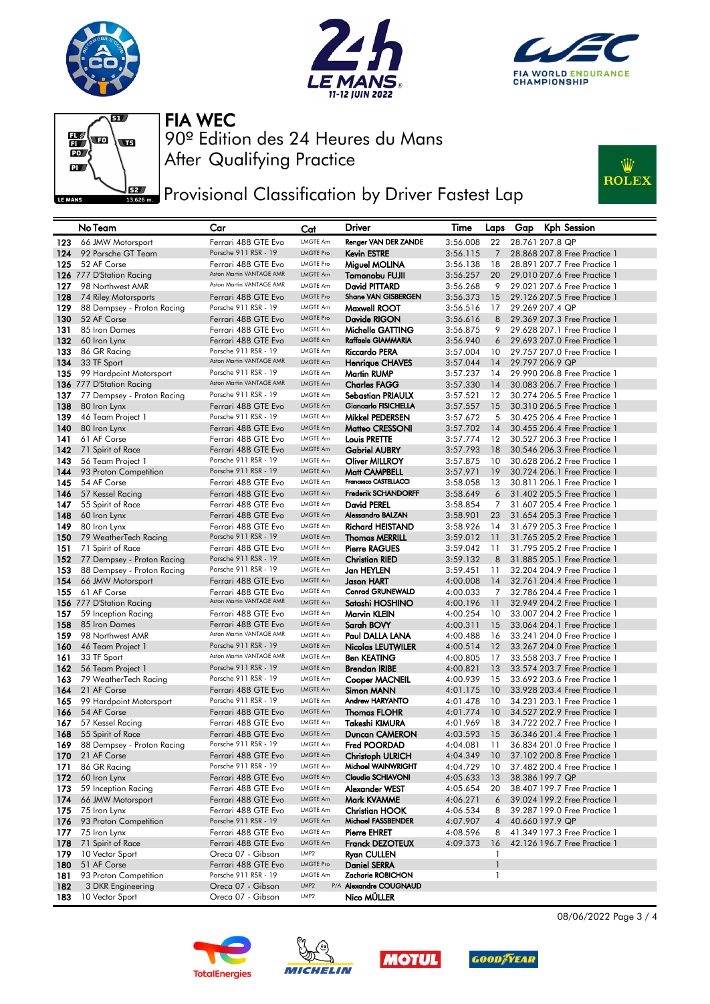







**PER P**rovisional Classification by Driver Fastest Lap



| 66 JMW Motorsport<br>Ferrari 488 GTE Evo<br>LMGTE Am<br>Renger VAN DER ZANDE<br>123<br>3:56.008<br>22<br>28.761 207.8 QP<br>Porsche 911 RSR - 19<br><b>LMGTE Pro</b><br>124<br>92 Porsche GT Team<br><b>Kevin ESTRE</b><br>$\overline{7}$<br>28,868 207.8 Free Practice 1<br>3:56.115<br>125<br>52 AF Corse<br>Ferrari 488 GTE Evo<br><b>LMGTE Pro</b><br>3:56.138<br>28.891 207.7 Free Practice 1<br>Miguel MOLINA<br>18<br>Aston Martin VANTAGE AMR<br>126 777 D'Station Racing<br><b>LMGTE Am</b><br>3:56.257<br>20<br>29.010 207.6 Free Practice 1<br>Tomonobu FUJII<br>Aston Martin VANTAGE AMR<br>127<br>98 Northwest AMR<br>LMGTE Am<br>David PITTARD<br>3:56.268<br>29.021 207.6 Free Practice 1<br>9<br>Shane VAN GISBERGEN<br>128<br>Ferrari 488 GTE Evo<br><b>LMGTE Pro</b><br>74 Riley Motorsports<br>3:56.373<br>15<br>29.126 207.5 Free Practice 1<br>Porsche 911 RSR - 19<br>129<br>LMGTE Am<br>Maxwell ROOT<br>3:56.516<br>29.269 207.4 QP<br>88 Dempsey - Proton Racing<br>17<br>130<br>Ferrari 488 GTE Evo<br><b>LMGTE Pro</b><br>Davide RIGON<br>29.369 207.3 Free Practice 1<br>52 AF Corse<br>3:56.616<br>8<br>131<br>85 Iron Dames<br>Ferrari 488 GTE Evo<br>LMGTE Am<br>Michelle GATTING<br>3:56.875<br>9<br>29.628 207.1 Free Practice 1<br>Raffaele GIAMMARIA<br>132<br><b>LMGTE Am</b><br>3:56.940<br>29.693 207.0 Free Practice 1<br>60 Iron Lynx<br>Ferrari 488 GTE Evo<br>6<br>Porsche 911 RSR - 19<br><b>LMGTE Am</b><br>133<br>86 GR Racing<br><b>Riccardo PERA</b><br>3:57.004<br>29,757 207.0 Free Practice 1<br>10<br>Aston Martin VANTAGE AMR<br>134<br><b>LMGTE Am</b><br>3:57.044<br>29.797 206.9 QP<br>33 TF Sport<br><b>Henrique CHAVES</b><br>14<br>Porsche 911 RSR - 19<br><b>LMGTE Am</b><br>135<br>3:57.237<br>14<br>29.990 206.8 Free Practice 1<br>99 Hardpoint Motorsport<br>Martin RUMP<br>Aston Martin VANTAGE AMR<br>LMGTE Am<br>136 777 D'Station Racing<br><b>Charles FAGG</b><br>3:57.330<br>30.083 206.7 Free Practice 1<br>14<br>Porsche 911 RSR - 19<br>137<br>LMGTE Am<br>3:57.521<br>12<br>30,274 206.5 Free Practice 1<br>77 Dempsey - Proton Racing<br>Sebastian PRIAULX<br>138<br><b>LMGTE Am</b><br><b>Giancarlo FISICHELLA</b><br>Ferrari 488 GTE Evo<br>3:57.557<br>30.310 206.5 Free Practice 1<br>80 Iron Lynx<br>15<br>Porsche 911 RSR - 19<br>139<br>LMGTE Am<br>Mikkel PEDERSEN<br>3:57.672<br>30.425 206.4 Free Practice 1<br>46 Team Project 1<br>5<br>140<br><b>LMGTE Am</b><br>3:57.702<br>30.455 206.4 Free Practice 1<br>80 Iron Lynx<br>Ferrari 488 GTE Evo<br>Matteo CRESSONI<br>14<br>141<br>61 AF Corse<br>Ferrari 488 GTE Evo<br>LMGTE Am<br><b>Louis PRETTE</b><br>3:57.774<br>12<br>30,527 206,3 Free Practice 1<br>142<br>71 Spirit of Race<br>Ferrari 488 GTE Evo<br><b>LMGTE Am</b><br>3:57.793<br>18<br>30.546 206.3 Free Practice 1<br><b>Gabriel AUBRY</b><br>Porsche 911 RSR - 19<br><b>LMGTE Am</b><br>143<br><b>Oliver MILLROY</b><br>3:57.875<br>10<br>30.628 206.2 Free Practice 1<br>56 Team Project 1<br>Porsche 911 RSR - 19<br>144<br><b>LMGTE Am</b><br>Matt CAMPBELL<br>3:57.971<br>19<br>30.724 206.1 Free Practice 1<br>93 Proton Competition<br>Francesco CASTELLACCI<br>145<br>54 AF Corse<br>Ferrari 488 GTE Evo<br>LMGTE Am<br>3:58.058<br>13<br>30.811 206.1 Free Practice 1<br>LMGTE Am<br><b>Frederik SCHANDORFF</b><br>146<br>57 Kessel Racing<br>Ferrari 488 GTE Evo<br>3:58.649<br>6<br>31.402 205.5 Free Practice 1<br>147<br>Ferrari 488 GTE Evo<br>LMGTE Am<br>3:58.854<br>31,607 205.4 Free Practice 1<br>55 Spirit of Race<br>David PEREL<br>7<br>Alessandro BALZAN<br>148<br>Ferrari 488 GTE Evo<br><b>LMGTE Am</b><br>3:58.901<br>23<br>31.654 205.3 Free Practice 1<br>60 Iron Lynx<br>149<br>80 Iron Lynx<br>LMGTE Am<br><b>Richard HEISTAND</b><br>3:58.926<br>31,679 205,3 Free Practice 1<br>Ferrari 488 GTE Evo<br>14<br>Porsche 911 RSR - 19<br><b>LMGTE Am</b><br>150<br>79 WeatherTech Racing<br><b>Thomas MERRILL</b><br>3:59.012<br>11<br>31.765 205.2 Free Practice 1<br>151<br>Ferrari 488 GTE Evo<br>LMGTE Am<br><b>Pierre RAGUES</b><br>3:59.042<br>31,795 205,2 Free Practice 1<br>71 Spirit of Race<br>11<br>Porsche 911 RSR - 19<br><b>LMGTE Am</b><br>3:59.132<br>31.885 205.1 Free Practice 1<br>152<br>77 Dempsey - Proton Racing<br><b>Christian RIED</b><br>8<br>Porsche 911 RSR - 19<br>153<br>LMGTE Am<br>Jan HEYLEN<br>3:59.451<br>32.204 204.9 Free Practice 1<br>88 Dempsey - Proton Racing<br>11<br>154<br>Ferrari 488 GTE Evo<br><b>LMGTE Am</b><br>4:00.008<br>32.761 204.4 Free Practice 1<br>66 JMW Motorsport<br><b>Jason HART</b><br>14<br>155<br>61 AF Corse<br>Ferrari 488 GTE Evo<br><b>LMGTE Am</b><br><b>Conrad GRUNEWALD</b><br>4:00.033<br>32,786 204.4 Free Practice 1<br>7<br>Aston Martin VANTAGE AMR<br>LMGTE Am<br>156 777 D'Station Racing<br>Satoshi HOSHINO<br>4:00.196<br>32.949 204.2 Free Practice 1<br>11<br>Ferrari 488 GTE Evo<br><b>LMGTE Am</b><br>33,007 204.2 Free Practice 1<br>157<br>59 Inception Racing<br>Marvin KLEIN<br>4:00.254<br>10<br>158<br>85 Iron Dames<br>Ferrari 488 GTE Evo<br><b>LMGTE Am</b><br>Sarah BOVY<br>4:00.311<br>33.064 204.1 Free Practice 1<br>15<br>Aston Martin VANTAGE AMR<br>159<br>98 Northwest AMR<br>LMGTE Am<br>Paul DALLA LANA<br>4:00.488<br>16<br>33.241 204.0 Free Practice 1<br>160<br>Porsche 911 RSR - 19<br><b>LMGTE Am</b><br>46 Team Project 1<br>Nicolas LEUTWILER<br>4:00.514<br>12<br>33.267 204.0 Free Practice 1<br>Aston Martin VANTAGE AMR<br>161<br>33 TF Sport<br>LMGTE Am<br><b>Ben KEATING</b><br>17<br>33,558 203,7 Free Practice 1<br>4:00.805<br>162<br>Porsche 911 RSR - 19<br><b>LMGTE Am</b><br>4:00.821<br>13<br>33.574 203.7 Free Practice 1<br>56 Team Project 1<br><b>Brendan IRIBE</b><br>Porsche 911 RSR - 19<br>163<br>79 WeatherTech Racing<br>LMGTE Am<br>Cooper MACNEIL<br>4:00.939<br>15<br>33.692 203.6 Free Practice 1<br>164<br>21 AF Corse<br>Ferrari 488 GTE Evo<br><b>LMGTE Am</b><br>10<br>33.928 203.4 Free Practice 1<br>Simon MANN<br>4:01.175<br>Andrew HARYANTO<br>99 Hardpoint Motorsport<br>Porsche 911 RSR - 19<br><b>LMGTE Am</b><br>165<br>4:01.478<br>10<br>34,231 203,1 Free Practice 1<br>166<br>54 AF Corse<br>Ferrari 488 GTE Evo<br><b>LMGTE Am</b><br><b>Thomas FLOHR</b><br>4:01.774<br>10<br>34.527 202.9 Free Practice 1<br>57 Kessel Racing<br>LMGTE Am<br>Takeshi KIMURA<br>4:01.969<br>34,722 202,7 Free Practice 1<br>167<br>Ferrari 488 GTE Evo<br>18<br>168<br>Ferrari 488 GTE Evo<br><b>LMGTE Am</b><br>Duncan CAMERON<br>4:03.593<br>36.346 201.4 Free Practice 1<br>55 Spirit of Race<br>15<br>Porsche 911 RSR - 19<br>LMGTE Am<br>169<br>88 Dempsey - Proton Racing<br><b>Fred POORDAD</b><br>4:04.081<br>-11<br>36.834 201.0 Free Practice 1<br>170<br>21 AF Corse<br>Ferrari 488 GTE Evo<br>LMGTE Am<br>Christoph ULRICH<br>4:04.349<br>10<br>37.102 200.8 Free Practice 1 |  |
|--------------------------------------------------------------------------------------------------------------------------------------------------------------------------------------------------------------------------------------------------------------------------------------------------------------------------------------------------------------------------------------------------------------------------------------------------------------------------------------------------------------------------------------------------------------------------------------------------------------------------------------------------------------------------------------------------------------------------------------------------------------------------------------------------------------------------------------------------------------------------------------------------------------------------------------------------------------------------------------------------------------------------------------------------------------------------------------------------------------------------------------------------------------------------------------------------------------------------------------------------------------------------------------------------------------------------------------------------------------------------------------------------------------------------------------------------------------------------------------------------------------------------------------------------------------------------------------------------------------------------------------------------------------------------------------------------------------------------------------------------------------------------------------------------------------------------------------------------------------------------------------------------------------------------------------------------------------------------------------------------------------------------------------------------------------------------------------------------------------------------------------------------------------------------------------------------------------------------------------------------------------------------------------------------------------------------------------------------------------------------------------------------------------------------------------------------------------------------------------------------------------------------------------------------------------------------------------------------------------------------------------------------------------------------------------------------------------------------------------------------------------------------------------------------------------------------------------------------------------------------------------------------------------------------------------------------------------------------------------------------------------------------------------------------------------------------------------------------------------------------------------------------------------------------------------------------------------------------------------------------------------------------------------------------------------------------------------------------------------------------------------------------------------------------------------------------------------------------------------------------------------------------------------------------------------------------------------------------------------------------------------------------------------------------------------------------------------------------------------------------------------------------------------------------------------------------------------------------------------------------------------------------------------------------------------------------------------------------------------------------------------------------------------------------------------------------------------------------------------------------------------------------------------------------------------------------------------------------------------------------------------------------------------------------------------------------------------------------------------------------------------------------------------------------------------------------------------------------------------------------------------------------------------------------------------------------------------------------------------------------------------------------------------------------------------------------------------------------------------------------------------------------------------------------------------------------------------------------------------------------------------------------------------------------------------------------------------------------------------------------------------------------------------------------------------------------------------------------------------------------------------------------------------------------------------------------------------------------------------------------------------------------------------------------------------------------------------------------------------------------------------------------------------------------------------------------------------------------------------------------------------------------------------------------------------------------------------------------------------------------------------------------------------------------------------------------------------------------------------------------------------------------------------------------------------------------------------------------------------------------------------------------------------------------------------------------------------------------------------------------------------------------------------------------------------------------------------------------------------------------------------------------------------------------------------------------------------------------------------------------------------------------------------------------------------------------------------------------------------------------------------------------------------------------------------------------------------------------------------------------------------------------------------------------------------------------------------------------------------------------------------------------------------------------------------------------------------------------------------------------------------------------------------------------------------------------------------------------------------------------------|--|
|                                                                                                                                                                                                                                                                                                                                                                                                                                                                                                                                                                                                                                                                                                                                                                                                                                                                                                                                                                                                                                                                                                                                                                                                                                                                                                                                                                                                                                                                                                                                                                                                                                                                                                                                                                                                                                                                                                                                                                                                                                                                                                                                                                                                                                                                                                                                                                                                                                                                                                                                                                                                                                                                                                                                                                                                                                                                                                                                                                                                                                                                                                                                                                                                                                                                                                                                                                                                                                                                                                                                                                                                                                                                                                                                                                                                                                                                                                                                                                                                                                                                                                                                                                                                                                                                                                                                                                                                                                                                                                                                                                                                                                                                                                                                                                                                                                                                                                                                                                                                                                                                                                                                                                                                                                                                                                                                                                                                                                                                                                                                                                                                                                                                                                                                                                                                                                                                                                                                                                                                                                                                                                                                                                                                                                                                                                                                                                                                                                                                                                                                                                                                                                                                                                                                                                                                                                                                                |  |
|                                                                                                                                                                                                                                                                                                                                                                                                                                                                                                                                                                                                                                                                                                                                                                                                                                                                                                                                                                                                                                                                                                                                                                                                                                                                                                                                                                                                                                                                                                                                                                                                                                                                                                                                                                                                                                                                                                                                                                                                                                                                                                                                                                                                                                                                                                                                                                                                                                                                                                                                                                                                                                                                                                                                                                                                                                                                                                                                                                                                                                                                                                                                                                                                                                                                                                                                                                                                                                                                                                                                                                                                                                                                                                                                                                                                                                                                                                                                                                                                                                                                                                                                                                                                                                                                                                                                                                                                                                                                                                                                                                                                                                                                                                                                                                                                                                                                                                                                                                                                                                                                                                                                                                                                                                                                                                                                                                                                                                                                                                                                                                                                                                                                                                                                                                                                                                                                                                                                                                                                                                                                                                                                                                                                                                                                                                                                                                                                                                                                                                                                                                                                                                                                                                                                                                                                                                                                                |  |
|                                                                                                                                                                                                                                                                                                                                                                                                                                                                                                                                                                                                                                                                                                                                                                                                                                                                                                                                                                                                                                                                                                                                                                                                                                                                                                                                                                                                                                                                                                                                                                                                                                                                                                                                                                                                                                                                                                                                                                                                                                                                                                                                                                                                                                                                                                                                                                                                                                                                                                                                                                                                                                                                                                                                                                                                                                                                                                                                                                                                                                                                                                                                                                                                                                                                                                                                                                                                                                                                                                                                                                                                                                                                                                                                                                                                                                                                                                                                                                                                                                                                                                                                                                                                                                                                                                                                                                                                                                                                                                                                                                                                                                                                                                                                                                                                                                                                                                                                                                                                                                                                                                                                                                                                                                                                                                                                                                                                                                                                                                                                                                                                                                                                                                                                                                                                                                                                                                                                                                                                                                                                                                                                                                                                                                                                                                                                                                                                                                                                                                                                                                                                                                                                                                                                                                                                                                                                                |  |
|                                                                                                                                                                                                                                                                                                                                                                                                                                                                                                                                                                                                                                                                                                                                                                                                                                                                                                                                                                                                                                                                                                                                                                                                                                                                                                                                                                                                                                                                                                                                                                                                                                                                                                                                                                                                                                                                                                                                                                                                                                                                                                                                                                                                                                                                                                                                                                                                                                                                                                                                                                                                                                                                                                                                                                                                                                                                                                                                                                                                                                                                                                                                                                                                                                                                                                                                                                                                                                                                                                                                                                                                                                                                                                                                                                                                                                                                                                                                                                                                                                                                                                                                                                                                                                                                                                                                                                                                                                                                                                                                                                                                                                                                                                                                                                                                                                                                                                                                                                                                                                                                                                                                                                                                                                                                                                                                                                                                                                                                                                                                                                                                                                                                                                                                                                                                                                                                                                                                                                                                                                                                                                                                                                                                                                                                                                                                                                                                                                                                                                                                                                                                                                                                                                                                                                                                                                                                                |  |
|                                                                                                                                                                                                                                                                                                                                                                                                                                                                                                                                                                                                                                                                                                                                                                                                                                                                                                                                                                                                                                                                                                                                                                                                                                                                                                                                                                                                                                                                                                                                                                                                                                                                                                                                                                                                                                                                                                                                                                                                                                                                                                                                                                                                                                                                                                                                                                                                                                                                                                                                                                                                                                                                                                                                                                                                                                                                                                                                                                                                                                                                                                                                                                                                                                                                                                                                                                                                                                                                                                                                                                                                                                                                                                                                                                                                                                                                                                                                                                                                                                                                                                                                                                                                                                                                                                                                                                                                                                                                                                                                                                                                                                                                                                                                                                                                                                                                                                                                                                                                                                                                                                                                                                                                                                                                                                                                                                                                                                                                                                                                                                                                                                                                                                                                                                                                                                                                                                                                                                                                                                                                                                                                                                                                                                                                                                                                                                                                                                                                                                                                                                                                                                                                                                                                                                                                                                                                                |  |
|                                                                                                                                                                                                                                                                                                                                                                                                                                                                                                                                                                                                                                                                                                                                                                                                                                                                                                                                                                                                                                                                                                                                                                                                                                                                                                                                                                                                                                                                                                                                                                                                                                                                                                                                                                                                                                                                                                                                                                                                                                                                                                                                                                                                                                                                                                                                                                                                                                                                                                                                                                                                                                                                                                                                                                                                                                                                                                                                                                                                                                                                                                                                                                                                                                                                                                                                                                                                                                                                                                                                                                                                                                                                                                                                                                                                                                                                                                                                                                                                                                                                                                                                                                                                                                                                                                                                                                                                                                                                                                                                                                                                                                                                                                                                                                                                                                                                                                                                                                                                                                                                                                                                                                                                                                                                                                                                                                                                                                                                                                                                                                                                                                                                                                                                                                                                                                                                                                                                                                                                                                                                                                                                                                                                                                                                                                                                                                                                                                                                                                                                                                                                                                                                                                                                                                                                                                                                                |  |
|                                                                                                                                                                                                                                                                                                                                                                                                                                                                                                                                                                                                                                                                                                                                                                                                                                                                                                                                                                                                                                                                                                                                                                                                                                                                                                                                                                                                                                                                                                                                                                                                                                                                                                                                                                                                                                                                                                                                                                                                                                                                                                                                                                                                                                                                                                                                                                                                                                                                                                                                                                                                                                                                                                                                                                                                                                                                                                                                                                                                                                                                                                                                                                                                                                                                                                                                                                                                                                                                                                                                                                                                                                                                                                                                                                                                                                                                                                                                                                                                                                                                                                                                                                                                                                                                                                                                                                                                                                                                                                                                                                                                                                                                                                                                                                                                                                                                                                                                                                                                                                                                                                                                                                                                                                                                                                                                                                                                                                                                                                                                                                                                                                                                                                                                                                                                                                                                                                                                                                                                                                                                                                                                                                                                                                                                                                                                                                                                                                                                                                                                                                                                                                                                                                                                                                                                                                                                                |  |
|                                                                                                                                                                                                                                                                                                                                                                                                                                                                                                                                                                                                                                                                                                                                                                                                                                                                                                                                                                                                                                                                                                                                                                                                                                                                                                                                                                                                                                                                                                                                                                                                                                                                                                                                                                                                                                                                                                                                                                                                                                                                                                                                                                                                                                                                                                                                                                                                                                                                                                                                                                                                                                                                                                                                                                                                                                                                                                                                                                                                                                                                                                                                                                                                                                                                                                                                                                                                                                                                                                                                                                                                                                                                                                                                                                                                                                                                                                                                                                                                                                                                                                                                                                                                                                                                                                                                                                                                                                                                                                                                                                                                                                                                                                                                                                                                                                                                                                                                                                                                                                                                                                                                                                                                                                                                                                                                                                                                                                                                                                                                                                                                                                                                                                                                                                                                                                                                                                                                                                                                                                                                                                                                                                                                                                                                                                                                                                                                                                                                                                                                                                                                                                                                                                                                                                                                                                                                                |  |
|                                                                                                                                                                                                                                                                                                                                                                                                                                                                                                                                                                                                                                                                                                                                                                                                                                                                                                                                                                                                                                                                                                                                                                                                                                                                                                                                                                                                                                                                                                                                                                                                                                                                                                                                                                                                                                                                                                                                                                                                                                                                                                                                                                                                                                                                                                                                                                                                                                                                                                                                                                                                                                                                                                                                                                                                                                                                                                                                                                                                                                                                                                                                                                                                                                                                                                                                                                                                                                                                                                                                                                                                                                                                                                                                                                                                                                                                                                                                                                                                                                                                                                                                                                                                                                                                                                                                                                                                                                                                                                                                                                                                                                                                                                                                                                                                                                                                                                                                                                                                                                                                                                                                                                                                                                                                                                                                                                                                                                                                                                                                                                                                                                                                                                                                                                                                                                                                                                                                                                                                                                                                                                                                                                                                                                                                                                                                                                                                                                                                                                                                                                                                                                                                                                                                                                                                                                                                                |  |
|                                                                                                                                                                                                                                                                                                                                                                                                                                                                                                                                                                                                                                                                                                                                                                                                                                                                                                                                                                                                                                                                                                                                                                                                                                                                                                                                                                                                                                                                                                                                                                                                                                                                                                                                                                                                                                                                                                                                                                                                                                                                                                                                                                                                                                                                                                                                                                                                                                                                                                                                                                                                                                                                                                                                                                                                                                                                                                                                                                                                                                                                                                                                                                                                                                                                                                                                                                                                                                                                                                                                                                                                                                                                                                                                                                                                                                                                                                                                                                                                                                                                                                                                                                                                                                                                                                                                                                                                                                                                                                                                                                                                                                                                                                                                                                                                                                                                                                                                                                                                                                                                                                                                                                                                                                                                                                                                                                                                                                                                                                                                                                                                                                                                                                                                                                                                                                                                                                                                                                                                                                                                                                                                                                                                                                                                                                                                                                                                                                                                                                                                                                                                                                                                                                                                                                                                                                                                                |  |
|                                                                                                                                                                                                                                                                                                                                                                                                                                                                                                                                                                                                                                                                                                                                                                                                                                                                                                                                                                                                                                                                                                                                                                                                                                                                                                                                                                                                                                                                                                                                                                                                                                                                                                                                                                                                                                                                                                                                                                                                                                                                                                                                                                                                                                                                                                                                                                                                                                                                                                                                                                                                                                                                                                                                                                                                                                                                                                                                                                                                                                                                                                                                                                                                                                                                                                                                                                                                                                                                                                                                                                                                                                                                                                                                                                                                                                                                                                                                                                                                                                                                                                                                                                                                                                                                                                                                                                                                                                                                                                                                                                                                                                                                                                                                                                                                                                                                                                                                                                                                                                                                                                                                                                                                                                                                                                                                                                                                                                                                                                                                                                                                                                                                                                                                                                                                                                                                                                                                                                                                                                                                                                                                                                                                                                                                                                                                                                                                                                                                                                                                                                                                                                                                                                                                                                                                                                                                                |  |
|                                                                                                                                                                                                                                                                                                                                                                                                                                                                                                                                                                                                                                                                                                                                                                                                                                                                                                                                                                                                                                                                                                                                                                                                                                                                                                                                                                                                                                                                                                                                                                                                                                                                                                                                                                                                                                                                                                                                                                                                                                                                                                                                                                                                                                                                                                                                                                                                                                                                                                                                                                                                                                                                                                                                                                                                                                                                                                                                                                                                                                                                                                                                                                                                                                                                                                                                                                                                                                                                                                                                                                                                                                                                                                                                                                                                                                                                                                                                                                                                                                                                                                                                                                                                                                                                                                                                                                                                                                                                                                                                                                                                                                                                                                                                                                                                                                                                                                                                                                                                                                                                                                                                                                                                                                                                                                                                                                                                                                                                                                                                                                                                                                                                                                                                                                                                                                                                                                                                                                                                                                                                                                                                                                                                                                                                                                                                                                                                                                                                                                                                                                                                                                                                                                                                                                                                                                                                                |  |
|                                                                                                                                                                                                                                                                                                                                                                                                                                                                                                                                                                                                                                                                                                                                                                                                                                                                                                                                                                                                                                                                                                                                                                                                                                                                                                                                                                                                                                                                                                                                                                                                                                                                                                                                                                                                                                                                                                                                                                                                                                                                                                                                                                                                                                                                                                                                                                                                                                                                                                                                                                                                                                                                                                                                                                                                                                                                                                                                                                                                                                                                                                                                                                                                                                                                                                                                                                                                                                                                                                                                                                                                                                                                                                                                                                                                                                                                                                                                                                                                                                                                                                                                                                                                                                                                                                                                                                                                                                                                                                                                                                                                                                                                                                                                                                                                                                                                                                                                                                                                                                                                                                                                                                                                                                                                                                                                                                                                                                                                                                                                                                                                                                                                                                                                                                                                                                                                                                                                                                                                                                                                                                                                                                                                                                                                                                                                                                                                                                                                                                                                                                                                                                                                                                                                                                                                                                                                                |  |
|                                                                                                                                                                                                                                                                                                                                                                                                                                                                                                                                                                                                                                                                                                                                                                                                                                                                                                                                                                                                                                                                                                                                                                                                                                                                                                                                                                                                                                                                                                                                                                                                                                                                                                                                                                                                                                                                                                                                                                                                                                                                                                                                                                                                                                                                                                                                                                                                                                                                                                                                                                                                                                                                                                                                                                                                                                                                                                                                                                                                                                                                                                                                                                                                                                                                                                                                                                                                                                                                                                                                                                                                                                                                                                                                                                                                                                                                                                                                                                                                                                                                                                                                                                                                                                                                                                                                                                                                                                                                                                                                                                                                                                                                                                                                                                                                                                                                                                                                                                                                                                                                                                                                                                                                                                                                                                                                                                                                                                                                                                                                                                                                                                                                                                                                                                                                                                                                                                                                                                                                                                                                                                                                                                                                                                                                                                                                                                                                                                                                                                                                                                                                                                                                                                                                                                                                                                                                                |  |
|                                                                                                                                                                                                                                                                                                                                                                                                                                                                                                                                                                                                                                                                                                                                                                                                                                                                                                                                                                                                                                                                                                                                                                                                                                                                                                                                                                                                                                                                                                                                                                                                                                                                                                                                                                                                                                                                                                                                                                                                                                                                                                                                                                                                                                                                                                                                                                                                                                                                                                                                                                                                                                                                                                                                                                                                                                                                                                                                                                                                                                                                                                                                                                                                                                                                                                                                                                                                                                                                                                                                                                                                                                                                                                                                                                                                                                                                                                                                                                                                                                                                                                                                                                                                                                                                                                                                                                                                                                                                                                                                                                                                                                                                                                                                                                                                                                                                                                                                                                                                                                                                                                                                                                                                                                                                                                                                                                                                                                                                                                                                                                                                                                                                                                                                                                                                                                                                                                                                                                                                                                                                                                                                                                                                                                                                                                                                                                                                                                                                                                                                                                                                                                                                                                                                                                                                                                                                                |  |
|                                                                                                                                                                                                                                                                                                                                                                                                                                                                                                                                                                                                                                                                                                                                                                                                                                                                                                                                                                                                                                                                                                                                                                                                                                                                                                                                                                                                                                                                                                                                                                                                                                                                                                                                                                                                                                                                                                                                                                                                                                                                                                                                                                                                                                                                                                                                                                                                                                                                                                                                                                                                                                                                                                                                                                                                                                                                                                                                                                                                                                                                                                                                                                                                                                                                                                                                                                                                                                                                                                                                                                                                                                                                                                                                                                                                                                                                                                                                                                                                                                                                                                                                                                                                                                                                                                                                                                                                                                                                                                                                                                                                                                                                                                                                                                                                                                                                                                                                                                                                                                                                                                                                                                                                                                                                                                                                                                                                                                                                                                                                                                                                                                                                                                                                                                                                                                                                                                                                                                                                                                                                                                                                                                                                                                                                                                                                                                                                                                                                                                                                                                                                                                                                                                                                                                                                                                                                                |  |
|                                                                                                                                                                                                                                                                                                                                                                                                                                                                                                                                                                                                                                                                                                                                                                                                                                                                                                                                                                                                                                                                                                                                                                                                                                                                                                                                                                                                                                                                                                                                                                                                                                                                                                                                                                                                                                                                                                                                                                                                                                                                                                                                                                                                                                                                                                                                                                                                                                                                                                                                                                                                                                                                                                                                                                                                                                                                                                                                                                                                                                                                                                                                                                                                                                                                                                                                                                                                                                                                                                                                                                                                                                                                                                                                                                                                                                                                                                                                                                                                                                                                                                                                                                                                                                                                                                                                                                                                                                                                                                                                                                                                                                                                                                                                                                                                                                                                                                                                                                                                                                                                                                                                                                                                                                                                                                                                                                                                                                                                                                                                                                                                                                                                                                                                                                                                                                                                                                                                                                                                                                                                                                                                                                                                                                                                                                                                                                                                                                                                                                                                                                                                                                                                                                                                                                                                                                                                                |  |
|                                                                                                                                                                                                                                                                                                                                                                                                                                                                                                                                                                                                                                                                                                                                                                                                                                                                                                                                                                                                                                                                                                                                                                                                                                                                                                                                                                                                                                                                                                                                                                                                                                                                                                                                                                                                                                                                                                                                                                                                                                                                                                                                                                                                                                                                                                                                                                                                                                                                                                                                                                                                                                                                                                                                                                                                                                                                                                                                                                                                                                                                                                                                                                                                                                                                                                                                                                                                                                                                                                                                                                                                                                                                                                                                                                                                                                                                                                                                                                                                                                                                                                                                                                                                                                                                                                                                                                                                                                                                                                                                                                                                                                                                                                                                                                                                                                                                                                                                                                                                                                                                                                                                                                                                                                                                                                                                                                                                                                                                                                                                                                                                                                                                                                                                                                                                                                                                                                                                                                                                                                                                                                                                                                                                                                                                                                                                                                                                                                                                                                                                                                                                                                                                                                                                                                                                                                                                                |  |
|                                                                                                                                                                                                                                                                                                                                                                                                                                                                                                                                                                                                                                                                                                                                                                                                                                                                                                                                                                                                                                                                                                                                                                                                                                                                                                                                                                                                                                                                                                                                                                                                                                                                                                                                                                                                                                                                                                                                                                                                                                                                                                                                                                                                                                                                                                                                                                                                                                                                                                                                                                                                                                                                                                                                                                                                                                                                                                                                                                                                                                                                                                                                                                                                                                                                                                                                                                                                                                                                                                                                                                                                                                                                                                                                                                                                                                                                                                                                                                                                                                                                                                                                                                                                                                                                                                                                                                                                                                                                                                                                                                                                                                                                                                                                                                                                                                                                                                                                                                                                                                                                                                                                                                                                                                                                                                                                                                                                                                                                                                                                                                                                                                                                                                                                                                                                                                                                                                                                                                                                                                                                                                                                                                                                                                                                                                                                                                                                                                                                                                                                                                                                                                                                                                                                                                                                                                                                                |  |
|                                                                                                                                                                                                                                                                                                                                                                                                                                                                                                                                                                                                                                                                                                                                                                                                                                                                                                                                                                                                                                                                                                                                                                                                                                                                                                                                                                                                                                                                                                                                                                                                                                                                                                                                                                                                                                                                                                                                                                                                                                                                                                                                                                                                                                                                                                                                                                                                                                                                                                                                                                                                                                                                                                                                                                                                                                                                                                                                                                                                                                                                                                                                                                                                                                                                                                                                                                                                                                                                                                                                                                                                                                                                                                                                                                                                                                                                                                                                                                                                                                                                                                                                                                                                                                                                                                                                                                                                                                                                                                                                                                                                                                                                                                                                                                                                                                                                                                                                                                                                                                                                                                                                                                                                                                                                                                                                                                                                                                                                                                                                                                                                                                                                                                                                                                                                                                                                                                                                                                                                                                                                                                                                                                                                                                                                                                                                                                                                                                                                                                                                                                                                                                                                                                                                                                                                                                                                                |  |
|                                                                                                                                                                                                                                                                                                                                                                                                                                                                                                                                                                                                                                                                                                                                                                                                                                                                                                                                                                                                                                                                                                                                                                                                                                                                                                                                                                                                                                                                                                                                                                                                                                                                                                                                                                                                                                                                                                                                                                                                                                                                                                                                                                                                                                                                                                                                                                                                                                                                                                                                                                                                                                                                                                                                                                                                                                                                                                                                                                                                                                                                                                                                                                                                                                                                                                                                                                                                                                                                                                                                                                                                                                                                                                                                                                                                                                                                                                                                                                                                                                                                                                                                                                                                                                                                                                                                                                                                                                                                                                                                                                                                                                                                                                                                                                                                                                                                                                                                                                                                                                                                                                                                                                                                                                                                                                                                                                                                                                                                                                                                                                                                                                                                                                                                                                                                                                                                                                                                                                                                                                                                                                                                                                                                                                                                                                                                                                                                                                                                                                                                                                                                                                                                                                                                                                                                                                                                                |  |
|                                                                                                                                                                                                                                                                                                                                                                                                                                                                                                                                                                                                                                                                                                                                                                                                                                                                                                                                                                                                                                                                                                                                                                                                                                                                                                                                                                                                                                                                                                                                                                                                                                                                                                                                                                                                                                                                                                                                                                                                                                                                                                                                                                                                                                                                                                                                                                                                                                                                                                                                                                                                                                                                                                                                                                                                                                                                                                                                                                                                                                                                                                                                                                                                                                                                                                                                                                                                                                                                                                                                                                                                                                                                                                                                                                                                                                                                                                                                                                                                                                                                                                                                                                                                                                                                                                                                                                                                                                                                                                                                                                                                                                                                                                                                                                                                                                                                                                                                                                                                                                                                                                                                                                                                                                                                                                                                                                                                                                                                                                                                                                                                                                                                                                                                                                                                                                                                                                                                                                                                                                                                                                                                                                                                                                                                                                                                                                                                                                                                                                                                                                                                                                                                                                                                                                                                                                                                                |  |
|                                                                                                                                                                                                                                                                                                                                                                                                                                                                                                                                                                                                                                                                                                                                                                                                                                                                                                                                                                                                                                                                                                                                                                                                                                                                                                                                                                                                                                                                                                                                                                                                                                                                                                                                                                                                                                                                                                                                                                                                                                                                                                                                                                                                                                                                                                                                                                                                                                                                                                                                                                                                                                                                                                                                                                                                                                                                                                                                                                                                                                                                                                                                                                                                                                                                                                                                                                                                                                                                                                                                                                                                                                                                                                                                                                                                                                                                                                                                                                                                                                                                                                                                                                                                                                                                                                                                                                                                                                                                                                                                                                                                                                                                                                                                                                                                                                                                                                                                                                                                                                                                                                                                                                                                                                                                                                                                                                                                                                                                                                                                                                                                                                                                                                                                                                                                                                                                                                                                                                                                                                                                                                                                                                                                                                                                                                                                                                                                                                                                                                                                                                                                                                                                                                                                                                                                                                                                                |  |
|                                                                                                                                                                                                                                                                                                                                                                                                                                                                                                                                                                                                                                                                                                                                                                                                                                                                                                                                                                                                                                                                                                                                                                                                                                                                                                                                                                                                                                                                                                                                                                                                                                                                                                                                                                                                                                                                                                                                                                                                                                                                                                                                                                                                                                                                                                                                                                                                                                                                                                                                                                                                                                                                                                                                                                                                                                                                                                                                                                                                                                                                                                                                                                                                                                                                                                                                                                                                                                                                                                                                                                                                                                                                                                                                                                                                                                                                                                                                                                                                                                                                                                                                                                                                                                                                                                                                                                                                                                                                                                                                                                                                                                                                                                                                                                                                                                                                                                                                                                                                                                                                                                                                                                                                                                                                                                                                                                                                                                                                                                                                                                                                                                                                                                                                                                                                                                                                                                                                                                                                                                                                                                                                                                                                                                                                                                                                                                                                                                                                                                                                                                                                                                                                                                                                                                                                                                                                                |  |
|                                                                                                                                                                                                                                                                                                                                                                                                                                                                                                                                                                                                                                                                                                                                                                                                                                                                                                                                                                                                                                                                                                                                                                                                                                                                                                                                                                                                                                                                                                                                                                                                                                                                                                                                                                                                                                                                                                                                                                                                                                                                                                                                                                                                                                                                                                                                                                                                                                                                                                                                                                                                                                                                                                                                                                                                                                                                                                                                                                                                                                                                                                                                                                                                                                                                                                                                                                                                                                                                                                                                                                                                                                                                                                                                                                                                                                                                                                                                                                                                                                                                                                                                                                                                                                                                                                                                                                                                                                                                                                                                                                                                                                                                                                                                                                                                                                                                                                                                                                                                                                                                                                                                                                                                                                                                                                                                                                                                                                                                                                                                                                                                                                                                                                                                                                                                                                                                                                                                                                                                                                                                                                                                                                                                                                                                                                                                                                                                                                                                                                                                                                                                                                                                                                                                                                                                                                                                                |  |
|                                                                                                                                                                                                                                                                                                                                                                                                                                                                                                                                                                                                                                                                                                                                                                                                                                                                                                                                                                                                                                                                                                                                                                                                                                                                                                                                                                                                                                                                                                                                                                                                                                                                                                                                                                                                                                                                                                                                                                                                                                                                                                                                                                                                                                                                                                                                                                                                                                                                                                                                                                                                                                                                                                                                                                                                                                                                                                                                                                                                                                                                                                                                                                                                                                                                                                                                                                                                                                                                                                                                                                                                                                                                                                                                                                                                                                                                                                                                                                                                                                                                                                                                                                                                                                                                                                                                                                                                                                                                                                                                                                                                                                                                                                                                                                                                                                                                                                                                                                                                                                                                                                                                                                                                                                                                                                                                                                                                                                                                                                                                                                                                                                                                                                                                                                                                                                                                                                                                                                                                                                                                                                                                                                                                                                                                                                                                                                                                                                                                                                                                                                                                                                                                                                                                                                                                                                                                                |  |
|                                                                                                                                                                                                                                                                                                                                                                                                                                                                                                                                                                                                                                                                                                                                                                                                                                                                                                                                                                                                                                                                                                                                                                                                                                                                                                                                                                                                                                                                                                                                                                                                                                                                                                                                                                                                                                                                                                                                                                                                                                                                                                                                                                                                                                                                                                                                                                                                                                                                                                                                                                                                                                                                                                                                                                                                                                                                                                                                                                                                                                                                                                                                                                                                                                                                                                                                                                                                                                                                                                                                                                                                                                                                                                                                                                                                                                                                                                                                                                                                                                                                                                                                                                                                                                                                                                                                                                                                                                                                                                                                                                                                                                                                                                                                                                                                                                                                                                                                                                                                                                                                                                                                                                                                                                                                                                                                                                                                                                                                                                                                                                                                                                                                                                                                                                                                                                                                                                                                                                                                                                                                                                                                                                                                                                                                                                                                                                                                                                                                                                                                                                                                                                                                                                                                                                                                                                                                                |  |
|                                                                                                                                                                                                                                                                                                                                                                                                                                                                                                                                                                                                                                                                                                                                                                                                                                                                                                                                                                                                                                                                                                                                                                                                                                                                                                                                                                                                                                                                                                                                                                                                                                                                                                                                                                                                                                                                                                                                                                                                                                                                                                                                                                                                                                                                                                                                                                                                                                                                                                                                                                                                                                                                                                                                                                                                                                                                                                                                                                                                                                                                                                                                                                                                                                                                                                                                                                                                                                                                                                                                                                                                                                                                                                                                                                                                                                                                                                                                                                                                                                                                                                                                                                                                                                                                                                                                                                                                                                                                                                                                                                                                                                                                                                                                                                                                                                                                                                                                                                                                                                                                                                                                                                                                                                                                                                                                                                                                                                                                                                                                                                                                                                                                                                                                                                                                                                                                                                                                                                                                                                                                                                                                                                                                                                                                                                                                                                                                                                                                                                                                                                                                                                                                                                                                                                                                                                                                                |  |
|                                                                                                                                                                                                                                                                                                                                                                                                                                                                                                                                                                                                                                                                                                                                                                                                                                                                                                                                                                                                                                                                                                                                                                                                                                                                                                                                                                                                                                                                                                                                                                                                                                                                                                                                                                                                                                                                                                                                                                                                                                                                                                                                                                                                                                                                                                                                                                                                                                                                                                                                                                                                                                                                                                                                                                                                                                                                                                                                                                                                                                                                                                                                                                                                                                                                                                                                                                                                                                                                                                                                                                                                                                                                                                                                                                                                                                                                                                                                                                                                                                                                                                                                                                                                                                                                                                                                                                                                                                                                                                                                                                                                                                                                                                                                                                                                                                                                                                                                                                                                                                                                                                                                                                                                                                                                                                                                                                                                                                                                                                                                                                                                                                                                                                                                                                                                                                                                                                                                                                                                                                                                                                                                                                                                                                                                                                                                                                                                                                                                                                                                                                                                                                                                                                                                                                                                                                                                                |  |
|                                                                                                                                                                                                                                                                                                                                                                                                                                                                                                                                                                                                                                                                                                                                                                                                                                                                                                                                                                                                                                                                                                                                                                                                                                                                                                                                                                                                                                                                                                                                                                                                                                                                                                                                                                                                                                                                                                                                                                                                                                                                                                                                                                                                                                                                                                                                                                                                                                                                                                                                                                                                                                                                                                                                                                                                                                                                                                                                                                                                                                                                                                                                                                                                                                                                                                                                                                                                                                                                                                                                                                                                                                                                                                                                                                                                                                                                                                                                                                                                                                                                                                                                                                                                                                                                                                                                                                                                                                                                                                                                                                                                                                                                                                                                                                                                                                                                                                                                                                                                                                                                                                                                                                                                                                                                                                                                                                                                                                                                                                                                                                                                                                                                                                                                                                                                                                                                                                                                                                                                                                                                                                                                                                                                                                                                                                                                                                                                                                                                                                                                                                                                                                                                                                                                                                                                                                                                                |  |
|                                                                                                                                                                                                                                                                                                                                                                                                                                                                                                                                                                                                                                                                                                                                                                                                                                                                                                                                                                                                                                                                                                                                                                                                                                                                                                                                                                                                                                                                                                                                                                                                                                                                                                                                                                                                                                                                                                                                                                                                                                                                                                                                                                                                                                                                                                                                                                                                                                                                                                                                                                                                                                                                                                                                                                                                                                                                                                                                                                                                                                                                                                                                                                                                                                                                                                                                                                                                                                                                                                                                                                                                                                                                                                                                                                                                                                                                                                                                                                                                                                                                                                                                                                                                                                                                                                                                                                                                                                                                                                                                                                                                                                                                                                                                                                                                                                                                                                                                                                                                                                                                                                                                                                                                                                                                                                                                                                                                                                                                                                                                                                                                                                                                                                                                                                                                                                                                                                                                                                                                                                                                                                                                                                                                                                                                                                                                                                                                                                                                                                                                                                                                                                                                                                                                                                                                                                                                                |  |
|                                                                                                                                                                                                                                                                                                                                                                                                                                                                                                                                                                                                                                                                                                                                                                                                                                                                                                                                                                                                                                                                                                                                                                                                                                                                                                                                                                                                                                                                                                                                                                                                                                                                                                                                                                                                                                                                                                                                                                                                                                                                                                                                                                                                                                                                                                                                                                                                                                                                                                                                                                                                                                                                                                                                                                                                                                                                                                                                                                                                                                                                                                                                                                                                                                                                                                                                                                                                                                                                                                                                                                                                                                                                                                                                                                                                                                                                                                                                                                                                                                                                                                                                                                                                                                                                                                                                                                                                                                                                                                                                                                                                                                                                                                                                                                                                                                                                                                                                                                                                                                                                                                                                                                                                                                                                                                                                                                                                                                                                                                                                                                                                                                                                                                                                                                                                                                                                                                                                                                                                                                                                                                                                                                                                                                                                                                                                                                                                                                                                                                                                                                                                                                                                                                                                                                                                                                                                                |  |
|                                                                                                                                                                                                                                                                                                                                                                                                                                                                                                                                                                                                                                                                                                                                                                                                                                                                                                                                                                                                                                                                                                                                                                                                                                                                                                                                                                                                                                                                                                                                                                                                                                                                                                                                                                                                                                                                                                                                                                                                                                                                                                                                                                                                                                                                                                                                                                                                                                                                                                                                                                                                                                                                                                                                                                                                                                                                                                                                                                                                                                                                                                                                                                                                                                                                                                                                                                                                                                                                                                                                                                                                                                                                                                                                                                                                                                                                                                                                                                                                                                                                                                                                                                                                                                                                                                                                                                                                                                                                                                                                                                                                                                                                                                                                                                                                                                                                                                                                                                                                                                                                                                                                                                                                                                                                                                                                                                                                                                                                                                                                                                                                                                                                                                                                                                                                                                                                                                                                                                                                                                                                                                                                                                                                                                                                                                                                                                                                                                                                                                                                                                                                                                                                                                                                                                                                                                                                                |  |
|                                                                                                                                                                                                                                                                                                                                                                                                                                                                                                                                                                                                                                                                                                                                                                                                                                                                                                                                                                                                                                                                                                                                                                                                                                                                                                                                                                                                                                                                                                                                                                                                                                                                                                                                                                                                                                                                                                                                                                                                                                                                                                                                                                                                                                                                                                                                                                                                                                                                                                                                                                                                                                                                                                                                                                                                                                                                                                                                                                                                                                                                                                                                                                                                                                                                                                                                                                                                                                                                                                                                                                                                                                                                                                                                                                                                                                                                                                                                                                                                                                                                                                                                                                                                                                                                                                                                                                                                                                                                                                                                                                                                                                                                                                                                                                                                                                                                                                                                                                                                                                                                                                                                                                                                                                                                                                                                                                                                                                                                                                                                                                                                                                                                                                                                                                                                                                                                                                                                                                                                                                                                                                                                                                                                                                                                                                                                                                                                                                                                                                                                                                                                                                                                                                                                                                                                                                                                                |  |
|                                                                                                                                                                                                                                                                                                                                                                                                                                                                                                                                                                                                                                                                                                                                                                                                                                                                                                                                                                                                                                                                                                                                                                                                                                                                                                                                                                                                                                                                                                                                                                                                                                                                                                                                                                                                                                                                                                                                                                                                                                                                                                                                                                                                                                                                                                                                                                                                                                                                                                                                                                                                                                                                                                                                                                                                                                                                                                                                                                                                                                                                                                                                                                                                                                                                                                                                                                                                                                                                                                                                                                                                                                                                                                                                                                                                                                                                                                                                                                                                                                                                                                                                                                                                                                                                                                                                                                                                                                                                                                                                                                                                                                                                                                                                                                                                                                                                                                                                                                                                                                                                                                                                                                                                                                                                                                                                                                                                                                                                                                                                                                                                                                                                                                                                                                                                                                                                                                                                                                                                                                                                                                                                                                                                                                                                                                                                                                                                                                                                                                                                                                                                                                                                                                                                                                                                                                                                                |  |
|                                                                                                                                                                                                                                                                                                                                                                                                                                                                                                                                                                                                                                                                                                                                                                                                                                                                                                                                                                                                                                                                                                                                                                                                                                                                                                                                                                                                                                                                                                                                                                                                                                                                                                                                                                                                                                                                                                                                                                                                                                                                                                                                                                                                                                                                                                                                                                                                                                                                                                                                                                                                                                                                                                                                                                                                                                                                                                                                                                                                                                                                                                                                                                                                                                                                                                                                                                                                                                                                                                                                                                                                                                                                                                                                                                                                                                                                                                                                                                                                                                                                                                                                                                                                                                                                                                                                                                                                                                                                                                                                                                                                                                                                                                                                                                                                                                                                                                                                                                                                                                                                                                                                                                                                                                                                                                                                                                                                                                                                                                                                                                                                                                                                                                                                                                                                                                                                                                                                                                                                                                                                                                                                                                                                                                                                                                                                                                                                                                                                                                                                                                                                                                                                                                                                                                                                                                                                                |  |
|                                                                                                                                                                                                                                                                                                                                                                                                                                                                                                                                                                                                                                                                                                                                                                                                                                                                                                                                                                                                                                                                                                                                                                                                                                                                                                                                                                                                                                                                                                                                                                                                                                                                                                                                                                                                                                                                                                                                                                                                                                                                                                                                                                                                                                                                                                                                                                                                                                                                                                                                                                                                                                                                                                                                                                                                                                                                                                                                                                                                                                                                                                                                                                                                                                                                                                                                                                                                                                                                                                                                                                                                                                                                                                                                                                                                                                                                                                                                                                                                                                                                                                                                                                                                                                                                                                                                                                                                                                                                                                                                                                                                                                                                                                                                                                                                                                                                                                                                                                                                                                                                                                                                                                                                                                                                                                                                                                                                                                                                                                                                                                                                                                                                                                                                                                                                                                                                                                                                                                                                                                                                                                                                                                                                                                                                                                                                                                                                                                                                                                                                                                                                                                                                                                                                                                                                                                                                                |  |
|                                                                                                                                                                                                                                                                                                                                                                                                                                                                                                                                                                                                                                                                                                                                                                                                                                                                                                                                                                                                                                                                                                                                                                                                                                                                                                                                                                                                                                                                                                                                                                                                                                                                                                                                                                                                                                                                                                                                                                                                                                                                                                                                                                                                                                                                                                                                                                                                                                                                                                                                                                                                                                                                                                                                                                                                                                                                                                                                                                                                                                                                                                                                                                                                                                                                                                                                                                                                                                                                                                                                                                                                                                                                                                                                                                                                                                                                                                                                                                                                                                                                                                                                                                                                                                                                                                                                                                                                                                                                                                                                                                                                                                                                                                                                                                                                                                                                                                                                                                                                                                                                                                                                                                                                                                                                                                                                                                                                                                                                                                                                                                                                                                                                                                                                                                                                                                                                                                                                                                                                                                                                                                                                                                                                                                                                                                                                                                                                                                                                                                                                                                                                                                                                                                                                                                                                                                                                                |  |
|                                                                                                                                                                                                                                                                                                                                                                                                                                                                                                                                                                                                                                                                                                                                                                                                                                                                                                                                                                                                                                                                                                                                                                                                                                                                                                                                                                                                                                                                                                                                                                                                                                                                                                                                                                                                                                                                                                                                                                                                                                                                                                                                                                                                                                                                                                                                                                                                                                                                                                                                                                                                                                                                                                                                                                                                                                                                                                                                                                                                                                                                                                                                                                                                                                                                                                                                                                                                                                                                                                                                                                                                                                                                                                                                                                                                                                                                                                                                                                                                                                                                                                                                                                                                                                                                                                                                                                                                                                                                                                                                                                                                                                                                                                                                                                                                                                                                                                                                                                                                                                                                                                                                                                                                                                                                                                                                                                                                                                                                                                                                                                                                                                                                                                                                                                                                                                                                                                                                                                                                                                                                                                                                                                                                                                                                                                                                                                                                                                                                                                                                                                                                                                                                                                                                                                                                                                                                                |  |
|                                                                                                                                                                                                                                                                                                                                                                                                                                                                                                                                                                                                                                                                                                                                                                                                                                                                                                                                                                                                                                                                                                                                                                                                                                                                                                                                                                                                                                                                                                                                                                                                                                                                                                                                                                                                                                                                                                                                                                                                                                                                                                                                                                                                                                                                                                                                                                                                                                                                                                                                                                                                                                                                                                                                                                                                                                                                                                                                                                                                                                                                                                                                                                                                                                                                                                                                                                                                                                                                                                                                                                                                                                                                                                                                                                                                                                                                                                                                                                                                                                                                                                                                                                                                                                                                                                                                                                                                                                                                                                                                                                                                                                                                                                                                                                                                                                                                                                                                                                                                                                                                                                                                                                                                                                                                                                                                                                                                                                                                                                                                                                                                                                                                                                                                                                                                                                                                                                                                                                                                                                                                                                                                                                                                                                                                                                                                                                                                                                                                                                                                                                                                                                                                                                                                                                                                                                                                                |  |
|                                                                                                                                                                                                                                                                                                                                                                                                                                                                                                                                                                                                                                                                                                                                                                                                                                                                                                                                                                                                                                                                                                                                                                                                                                                                                                                                                                                                                                                                                                                                                                                                                                                                                                                                                                                                                                                                                                                                                                                                                                                                                                                                                                                                                                                                                                                                                                                                                                                                                                                                                                                                                                                                                                                                                                                                                                                                                                                                                                                                                                                                                                                                                                                                                                                                                                                                                                                                                                                                                                                                                                                                                                                                                                                                                                                                                                                                                                                                                                                                                                                                                                                                                                                                                                                                                                                                                                                                                                                                                                                                                                                                                                                                                                                                                                                                                                                                                                                                                                                                                                                                                                                                                                                                                                                                                                                                                                                                                                                                                                                                                                                                                                                                                                                                                                                                                                                                                                                                                                                                                                                                                                                                                                                                                                                                                                                                                                                                                                                                                                                                                                                                                                                                                                                                                                                                                                                                                |  |
|                                                                                                                                                                                                                                                                                                                                                                                                                                                                                                                                                                                                                                                                                                                                                                                                                                                                                                                                                                                                                                                                                                                                                                                                                                                                                                                                                                                                                                                                                                                                                                                                                                                                                                                                                                                                                                                                                                                                                                                                                                                                                                                                                                                                                                                                                                                                                                                                                                                                                                                                                                                                                                                                                                                                                                                                                                                                                                                                                                                                                                                                                                                                                                                                                                                                                                                                                                                                                                                                                                                                                                                                                                                                                                                                                                                                                                                                                                                                                                                                                                                                                                                                                                                                                                                                                                                                                                                                                                                                                                                                                                                                                                                                                                                                                                                                                                                                                                                                                                                                                                                                                                                                                                                                                                                                                                                                                                                                                                                                                                                                                                                                                                                                                                                                                                                                                                                                                                                                                                                                                                                                                                                                                                                                                                                                                                                                                                                                                                                                                                                                                                                                                                                                                                                                                                                                                                                                                |  |
|                                                                                                                                                                                                                                                                                                                                                                                                                                                                                                                                                                                                                                                                                                                                                                                                                                                                                                                                                                                                                                                                                                                                                                                                                                                                                                                                                                                                                                                                                                                                                                                                                                                                                                                                                                                                                                                                                                                                                                                                                                                                                                                                                                                                                                                                                                                                                                                                                                                                                                                                                                                                                                                                                                                                                                                                                                                                                                                                                                                                                                                                                                                                                                                                                                                                                                                                                                                                                                                                                                                                                                                                                                                                                                                                                                                                                                                                                                                                                                                                                                                                                                                                                                                                                                                                                                                                                                                                                                                                                                                                                                                                                                                                                                                                                                                                                                                                                                                                                                                                                                                                                                                                                                                                                                                                                                                                                                                                                                                                                                                                                                                                                                                                                                                                                                                                                                                                                                                                                                                                                                                                                                                                                                                                                                                                                                                                                                                                                                                                                                                                                                                                                                                                                                                                                                                                                                                                                |  |
|                                                                                                                                                                                                                                                                                                                                                                                                                                                                                                                                                                                                                                                                                                                                                                                                                                                                                                                                                                                                                                                                                                                                                                                                                                                                                                                                                                                                                                                                                                                                                                                                                                                                                                                                                                                                                                                                                                                                                                                                                                                                                                                                                                                                                                                                                                                                                                                                                                                                                                                                                                                                                                                                                                                                                                                                                                                                                                                                                                                                                                                                                                                                                                                                                                                                                                                                                                                                                                                                                                                                                                                                                                                                                                                                                                                                                                                                                                                                                                                                                                                                                                                                                                                                                                                                                                                                                                                                                                                                                                                                                                                                                                                                                                                                                                                                                                                                                                                                                                                                                                                                                                                                                                                                                                                                                                                                                                                                                                                                                                                                                                                                                                                                                                                                                                                                                                                                                                                                                                                                                                                                                                                                                                                                                                                                                                                                                                                                                                                                                                                                                                                                                                                                                                                                                                                                                                                                                |  |
|                                                                                                                                                                                                                                                                                                                                                                                                                                                                                                                                                                                                                                                                                                                                                                                                                                                                                                                                                                                                                                                                                                                                                                                                                                                                                                                                                                                                                                                                                                                                                                                                                                                                                                                                                                                                                                                                                                                                                                                                                                                                                                                                                                                                                                                                                                                                                                                                                                                                                                                                                                                                                                                                                                                                                                                                                                                                                                                                                                                                                                                                                                                                                                                                                                                                                                                                                                                                                                                                                                                                                                                                                                                                                                                                                                                                                                                                                                                                                                                                                                                                                                                                                                                                                                                                                                                                                                                                                                                                                                                                                                                                                                                                                                                                                                                                                                                                                                                                                                                                                                                                                                                                                                                                                                                                                                                                                                                                                                                                                                                                                                                                                                                                                                                                                                                                                                                                                                                                                                                                                                                                                                                                                                                                                                                                                                                                                                                                                                                                                                                                                                                                                                                                                                                                                                                                                                                                                |  |
|                                                                                                                                                                                                                                                                                                                                                                                                                                                                                                                                                                                                                                                                                                                                                                                                                                                                                                                                                                                                                                                                                                                                                                                                                                                                                                                                                                                                                                                                                                                                                                                                                                                                                                                                                                                                                                                                                                                                                                                                                                                                                                                                                                                                                                                                                                                                                                                                                                                                                                                                                                                                                                                                                                                                                                                                                                                                                                                                                                                                                                                                                                                                                                                                                                                                                                                                                                                                                                                                                                                                                                                                                                                                                                                                                                                                                                                                                                                                                                                                                                                                                                                                                                                                                                                                                                                                                                                                                                                                                                                                                                                                                                                                                                                                                                                                                                                                                                                                                                                                                                                                                                                                                                                                                                                                                                                                                                                                                                                                                                                                                                                                                                                                                                                                                                                                                                                                                                                                                                                                                                                                                                                                                                                                                                                                                                                                                                                                                                                                                                                                                                                                                                                                                                                                                                                                                                                                                |  |
| Porsche 911 RSR - 19<br>Michael WAINWRIGHT<br>86 GR Racing<br>LMGTE Am<br>4:04.729<br>37.482 200.4 Free Practice 1<br>171.<br>10                                                                                                                                                                                                                                                                                                                                                                                                                                                                                                                                                                                                                                                                                                                                                                                                                                                                                                                                                                                                                                                                                                                                                                                                                                                                                                                                                                                                                                                                                                                                                                                                                                                                                                                                                                                                                                                                                                                                                                                                                                                                                                                                                                                                                                                                                                                                                                                                                                                                                                                                                                                                                                                                                                                                                                                                                                                                                                                                                                                                                                                                                                                                                                                                                                                                                                                                                                                                                                                                                                                                                                                                                                                                                                                                                                                                                                                                                                                                                                                                                                                                                                                                                                                                                                                                                                                                                                                                                                                                                                                                                                                                                                                                                                                                                                                                                                                                                                                                                                                                                                                                                                                                                                                                                                                                                                                                                                                                                                                                                                                                                                                                                                                                                                                                                                                                                                                                                                                                                                                                                                                                                                                                                                                                                                                                                                                                                                                                                                                                                                                                                                                                                                                                                                                                               |  |
| 60 Iron Lynx<br>Claudio SCHIAVONI<br>38.386 199.7 QP<br>172<br>Ferrari 488 GTE Evo<br>LMGTE Am<br>4:05.633<br>13                                                                                                                                                                                                                                                                                                                                                                                                                                                                                                                                                                                                                                                                                                                                                                                                                                                                                                                                                                                                                                                                                                                                                                                                                                                                                                                                                                                                                                                                                                                                                                                                                                                                                                                                                                                                                                                                                                                                                                                                                                                                                                                                                                                                                                                                                                                                                                                                                                                                                                                                                                                                                                                                                                                                                                                                                                                                                                                                                                                                                                                                                                                                                                                                                                                                                                                                                                                                                                                                                                                                                                                                                                                                                                                                                                                                                                                                                                                                                                                                                                                                                                                                                                                                                                                                                                                                                                                                                                                                                                                                                                                                                                                                                                                                                                                                                                                                                                                                                                                                                                                                                                                                                                                                                                                                                                                                                                                                                                                                                                                                                                                                                                                                                                                                                                                                                                                                                                                                                                                                                                                                                                                                                                                                                                                                                                                                                                                                                                                                                                                                                                                                                                                                                                                                                               |  |
| Alexander WEST<br>173<br>59 Inception Racing<br>Ferrari 488 GTE Evo<br>LMGTE Am<br>4:05.654<br>38.407 199.7 Free Practice 1<br>20                                                                                                                                                                                                                                                                                                                                                                                                                                                                                                                                                                                                                                                                                                                                                                                                                                                                                                                                                                                                                                                                                                                                                                                                                                                                                                                                                                                                                                                                                                                                                                                                                                                                                                                                                                                                                                                                                                                                                                                                                                                                                                                                                                                                                                                                                                                                                                                                                                                                                                                                                                                                                                                                                                                                                                                                                                                                                                                                                                                                                                                                                                                                                                                                                                                                                                                                                                                                                                                                                                                                                                                                                                                                                                                                                                                                                                                                                                                                                                                                                                                                                                                                                                                                                                                                                                                                                                                                                                                                                                                                                                                                                                                                                                                                                                                                                                                                                                                                                                                                                                                                                                                                                                                                                                                                                                                                                                                                                                                                                                                                                                                                                                                                                                                                                                                                                                                                                                                                                                                                                                                                                                                                                                                                                                                                                                                                                                                                                                                                                                                                                                                                                                                                                                                                              |  |
| LMGTE Am<br>174<br>66 JMW Motorsport<br>Ferrari 488 GTE Evo<br>Mark KVAMME<br>4:06.271<br>39.024 199.2 Free Practice 1<br>6<br>Ferrari 488 GTE Evo<br><b>LMGTE Am</b>                                                                                                                                                                                                                                                                                                                                                                                                                                                                                                                                                                                                                                                                                                                                                                                                                                                                                                                                                                                                                                                                                                                                                                                                                                                                                                                                                                                                                                                                                                                                                                                                                                                                                                                                                                                                                                                                                                                                                                                                                                                                                                                                                                                                                                                                                                                                                                                                                                                                                                                                                                                                                                                                                                                                                                                                                                                                                                                                                                                                                                                                                                                                                                                                                                                                                                                                                                                                                                                                                                                                                                                                                                                                                                                                                                                                                                                                                                                                                                                                                                                                                                                                                                                                                                                                                                                                                                                                                                                                                                                                                                                                                                                                                                                                                                                                                                                                                                                                                                                                                                                                                                                                                                                                                                                                                                                                                                                                                                                                                                                                                                                                                                                                                                                                                                                                                                                                                                                                                                                                                                                                                                                                                                                                                                                                                                                                                                                                                                                                                                                                                                                                                                                                                                          |  |
| 175<br><b>Christian HOOK</b><br>75 Iron Lynx<br>4:06.534<br>39.287 199.0 Free Practice 1<br>8<br>Porsche 911 RSR - 19<br>Michael FASSBENDER<br>LMGTE Am<br>40.660 197.9 QP                                                                                                                                                                                                                                                                                                                                                                                                                                                                                                                                                                                                                                                                                                                                                                                                                                                                                                                                                                                                                                                                                                                                                                                                                                                                                                                                                                                                                                                                                                                                                                                                                                                                                                                                                                                                                                                                                                                                                                                                                                                                                                                                                                                                                                                                                                                                                                                                                                                                                                                                                                                                                                                                                                                                                                                                                                                                                                                                                                                                                                                                                                                                                                                                                                                                                                                                                                                                                                                                                                                                                                                                                                                                                                                                                                                                                                                                                                                                                                                                                                                                                                                                                                                                                                                                                                                                                                                                                                                                                                                                                                                                                                                                                                                                                                                                                                                                                                                                                                                                                                                                                                                                                                                                                                                                                                                                                                                                                                                                                                                                                                                                                                                                                                                                                                                                                                                                                                                                                                                                                                                                                                                                                                                                                                                                                                                                                                                                                                                                                                                                                                                                                                                                                                     |  |
| 93 Proton Competition<br>4:07.907<br>176<br>$\overline{4}$<br>41.349 197.3 Free Practice 1<br>75 Iron Lynx<br>Ferrari 488 GTE Evo<br><b>LMGTE Am</b><br><b>Pierre EHRET</b><br>4:08.596<br>177<br>8                                                                                                                                                                                                                                                                                                                                                                                                                                                                                                                                                                                                                                                                                                                                                                                                                                                                                                                                                                                                                                                                                                                                                                                                                                                                                                                                                                                                                                                                                                                                                                                                                                                                                                                                                                                                                                                                                                                                                                                                                                                                                                                                                                                                                                                                                                                                                                                                                                                                                                                                                                                                                                                                                                                                                                                                                                                                                                                                                                                                                                                                                                                                                                                                                                                                                                                                                                                                                                                                                                                                                                                                                                                                                                                                                                                                                                                                                                                                                                                                                                                                                                                                                                                                                                                                                                                                                                                                                                                                                                                                                                                                                                                                                                                                                                                                                                                                                                                                                                                                                                                                                                                                                                                                                                                                                                                                                                                                                                                                                                                                                                                                                                                                                                                                                                                                                                                                                                                                                                                                                                                                                                                                                                                                                                                                                                                                                                                                                                                                                                                                                                                                                                                                            |  |
| Ferrari 488 GTE Evo<br>LMGTE Am<br><b>Franck DEZOTEUX</b><br>4:09.373<br>42.126 196.7 Free Practice 1<br>178<br>71 Spirit of Race<br>16                                                                                                                                                                                                                                                                                                                                                                                                                                                                                                                                                                                                                                                                                                                                                                                                                                                                                                                                                                                                                                                                                                                                                                                                                                                                                                                                                                                                                                                                                                                                                                                                                                                                                                                                                                                                                                                                                                                                                                                                                                                                                                                                                                                                                                                                                                                                                                                                                                                                                                                                                                                                                                                                                                                                                                                                                                                                                                                                                                                                                                                                                                                                                                                                                                                                                                                                                                                                                                                                                                                                                                                                                                                                                                                                                                                                                                                                                                                                                                                                                                                                                                                                                                                                                                                                                                                                                                                                                                                                                                                                                                                                                                                                                                                                                                                                                                                                                                                                                                                                                                                                                                                                                                                                                                                                                                                                                                                                                                                                                                                                                                                                                                                                                                                                                                                                                                                                                                                                                                                                                                                                                                                                                                                                                                                                                                                                                                                                                                                                                                                                                                                                                                                                                                                                        |  |
| 179<br>10 Vector Sport<br>Oreca 07 - Gibson<br>LMP <sub>2</sub><br><b>Ryan CULLEN</b><br>1                                                                                                                                                                                                                                                                                                                                                                                                                                                                                                                                                                                                                                                                                                                                                                                                                                                                                                                                                                                                                                                                                                                                                                                                                                                                                                                                                                                                                                                                                                                                                                                                                                                                                                                                                                                                                                                                                                                                                                                                                                                                                                                                                                                                                                                                                                                                                                                                                                                                                                                                                                                                                                                                                                                                                                                                                                                                                                                                                                                                                                                                                                                                                                                                                                                                                                                                                                                                                                                                                                                                                                                                                                                                                                                                                                                                                                                                                                                                                                                                                                                                                                                                                                                                                                                                                                                                                                                                                                                                                                                                                                                                                                                                                                                                                                                                                                                                                                                                                                                                                                                                                                                                                                                                                                                                                                                                                                                                                                                                                                                                                                                                                                                                                                                                                                                                                                                                                                                                                                                                                                                                                                                                                                                                                                                                                                                                                                                                                                                                                                                                                                                                                                                                                                                                                                                     |  |
| <b>LMGTE Pro</b><br>180<br>51 AF Corse<br>Ferrari 488 GTE Evo<br><b>Daniel SERRA</b><br>$\mathbf{1}$                                                                                                                                                                                                                                                                                                                                                                                                                                                                                                                                                                                                                                                                                                                                                                                                                                                                                                                                                                                                                                                                                                                                                                                                                                                                                                                                                                                                                                                                                                                                                                                                                                                                                                                                                                                                                                                                                                                                                                                                                                                                                                                                                                                                                                                                                                                                                                                                                                                                                                                                                                                                                                                                                                                                                                                                                                                                                                                                                                                                                                                                                                                                                                                                                                                                                                                                                                                                                                                                                                                                                                                                                                                                                                                                                                                                                                                                                                                                                                                                                                                                                                                                                                                                                                                                                                                                                                                                                                                                                                                                                                                                                                                                                                                                                                                                                                                                                                                                                                                                                                                                                                                                                                                                                                                                                                                                                                                                                                                                                                                                                                                                                                                                                                                                                                                                                                                                                                                                                                                                                                                                                                                                                                                                                                                                                                                                                                                                                                                                                                                                                                                                                                                                                                                                                                           |  |
| Zacharie ROBICHON<br>93 Proton Competition<br>Porsche 911 RSR - 19<br>LMGTE Am<br>1<br>181                                                                                                                                                                                                                                                                                                                                                                                                                                                                                                                                                                                                                                                                                                                                                                                                                                                                                                                                                                                                                                                                                                                                                                                                                                                                                                                                                                                                                                                                                                                                                                                                                                                                                                                                                                                                                                                                                                                                                                                                                                                                                                                                                                                                                                                                                                                                                                                                                                                                                                                                                                                                                                                                                                                                                                                                                                                                                                                                                                                                                                                                                                                                                                                                                                                                                                                                                                                                                                                                                                                                                                                                                                                                                                                                                                                                                                                                                                                                                                                                                                                                                                                                                                                                                                                                                                                                                                                                                                                                                                                                                                                                                                                                                                                                                                                                                                                                                                                                                                                                                                                                                                                                                                                                                                                                                                                                                                                                                                                                                                                                                                                                                                                                                                                                                                                                                                                                                                                                                                                                                                                                                                                                                                                                                                                                                                                                                                                                                                                                                                                                                                                                                                                                                                                                                                                     |  |
| <b>Alexandre COUGNAUD</b><br>Oreca 07 - Gibson<br>LMP <sub>2</sub><br>P/A<br>182<br>3 DKR Engineering                                                                                                                                                                                                                                                                                                                                                                                                                                                                                                                                                                                                                                                                                                                                                                                                                                                                                                                                                                                                                                                                                                                                                                                                                                                                                                                                                                                                                                                                                                                                                                                                                                                                                                                                                                                                                                                                                                                                                                                                                                                                                                                                                                                                                                                                                                                                                                                                                                                                                                                                                                                                                                                                                                                                                                                                                                                                                                                                                                                                                                                                                                                                                                                                                                                                                                                                                                                                                                                                                                                                                                                                                                                                                                                                                                                                                                                                                                                                                                                                                                                                                                                                                                                                                                                                                                                                                                                                                                                                                                                                                                                                                                                                                                                                                                                                                                                                                                                                                                                                                                                                                                                                                                                                                                                                                                                                                                                                                                                                                                                                                                                                                                                                                                                                                                                                                                                                                                                                                                                                                                                                                                                                                                                                                                                                                                                                                                                                                                                                                                                                                                                                                                                                                                                                                                          |  |
| 183<br>10 Vector Sport<br>Oreca 07 - Gibson<br>LMP <sub>2</sub><br>Nico MULLER                                                                                                                                                                                                                                                                                                                                                                                                                                                                                                                                                                                                                                                                                                                                                                                                                                                                                                                                                                                                                                                                                                                                                                                                                                                                                                                                                                                                                                                                                                                                                                                                                                                                                                                                                                                                                                                                                                                                                                                                                                                                                                                                                                                                                                                                                                                                                                                                                                                                                                                                                                                                                                                                                                                                                                                                                                                                                                                                                                                                                                                                                                                                                                                                                                                                                                                                                                                                                                                                                                                                                                                                                                                                                                                                                                                                                                                                                                                                                                                                                                                                                                                                                                                                                                                                                                                                                                                                                                                                                                                                                                                                                                                                                                                                                                                                                                                                                                                                                                                                                                                                                                                                                                                                                                                                                                                                                                                                                                                                                                                                                                                                                                                                                                                                                                                                                                                                                                                                                                                                                                                                                                                                                                                                                                                                                                                                                                                                                                                                                                                                                                                                                                                                                                                                                                                                 |  |